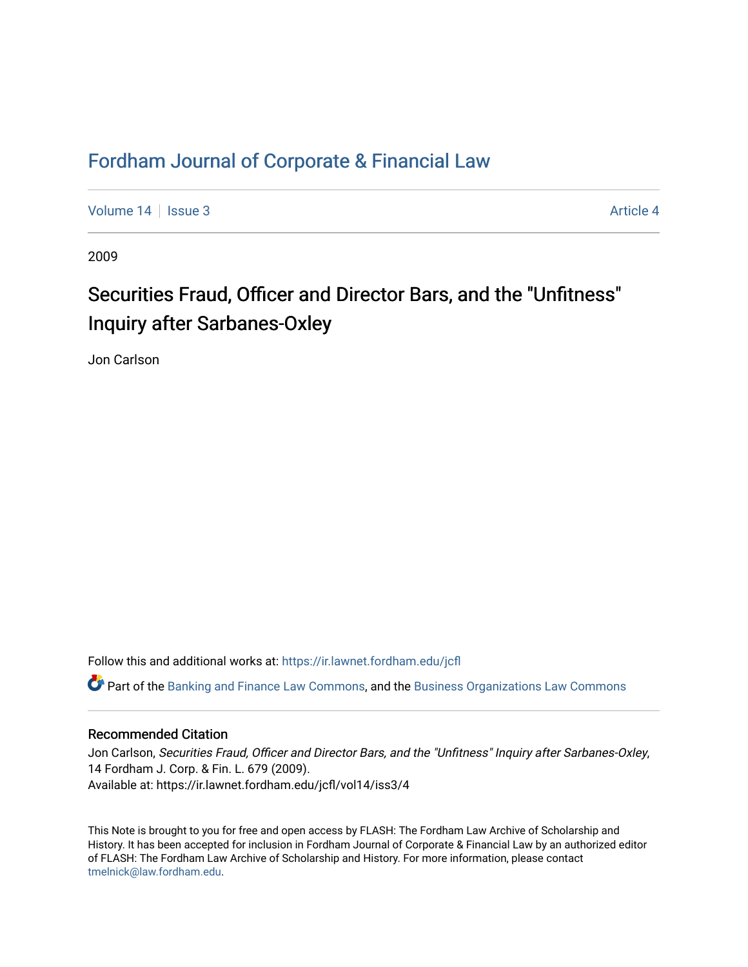# [Fordham Journal of Corporate & Financial Law](https://ir.lawnet.fordham.edu/jcfl)

[Volume 14](https://ir.lawnet.fordham.edu/jcfl/vol14) Sexue 3 [Article 4](https://ir.lawnet.fordham.edu/jcfl/vol14/iss3/4) Article 4

2009

# Securities Fraud, Officer and Director Bars, and the "Unfitness" Inquiry after Sarbanes-Oxley

Jon Carlson

Follow this and additional works at: [https://ir.lawnet.fordham.edu/jcfl](https://ir.lawnet.fordham.edu/jcfl?utm_source=ir.lawnet.fordham.edu%2Fjcfl%2Fvol14%2Fiss3%2F4&utm_medium=PDF&utm_campaign=PDFCoverPages) 

Part of the [Banking and Finance Law Commons,](http://network.bepress.com/hgg/discipline/833?utm_source=ir.lawnet.fordham.edu%2Fjcfl%2Fvol14%2Fiss3%2F4&utm_medium=PDF&utm_campaign=PDFCoverPages) and the [Business Organizations Law Commons](http://network.bepress.com/hgg/discipline/900?utm_source=ir.lawnet.fordham.edu%2Fjcfl%2Fvol14%2Fiss3%2F4&utm_medium=PDF&utm_campaign=PDFCoverPages) 

### Recommended Citation

Jon Carlson, Securities Fraud, Officer and Director Bars, and the "Unfitness" Inquiry after Sarbanes-Oxley, 14 Fordham J. Corp. & Fin. L. 679 (2009). Available at: https://ir.lawnet.fordham.edu/jcfl/vol14/iss3/4

This Note is brought to you for free and open access by FLASH: The Fordham Law Archive of Scholarship and History. It has been accepted for inclusion in Fordham Journal of Corporate & Financial Law by an authorized editor of FLASH: The Fordham Law Archive of Scholarship and History. For more information, please contact [tmelnick@law.fordham.edu](mailto:tmelnick@law.fordham.edu).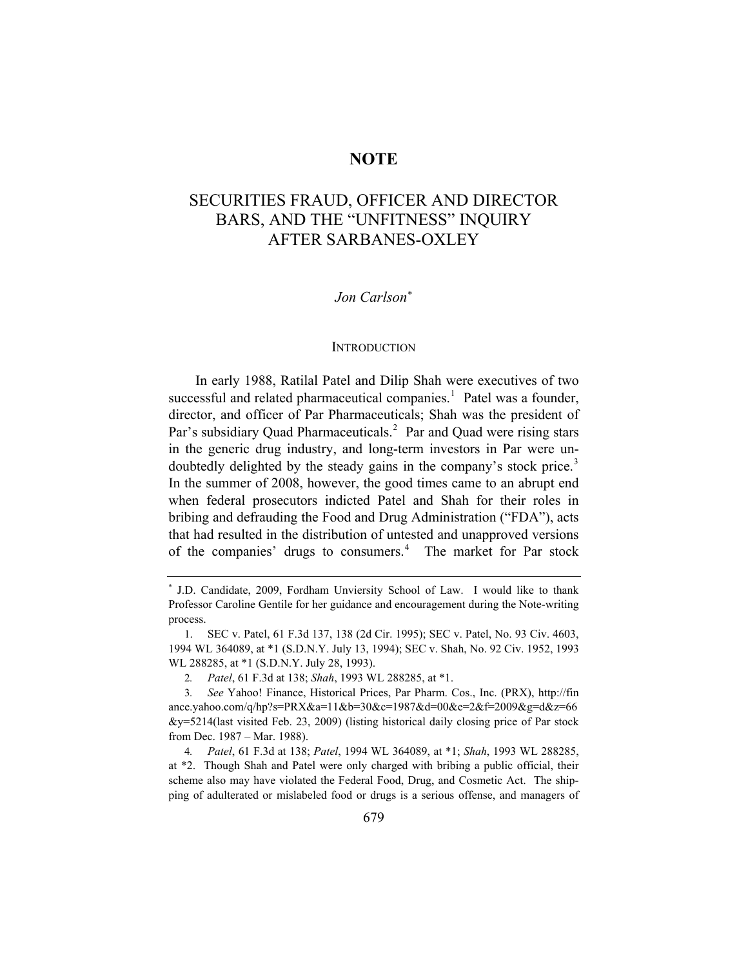### **NOTE**

## SECURITIES FRAUD, OFFICER AND DIRECTOR BARS, AND THE "UNFITNESS" INQUIRY AFTER SARBANES-OXLEY

#### *Jon Carlson*[∗](#page-1-0)

#### **INTRODUCTION**

In early 1988, Ratilal Patel and Dilip Shah were executives of two successful and related pharmaceutical companies.<sup>[1](#page-1-1)</sup> Patel was a founder, director, and officer of Par Pharmaceuticals; Shah was the president of Par's subsidiary Quad Pharmaceuticals.<sup>[2](#page-1-2)</sup> Par and Quad were rising stars in the generic drug industry, and long-term investors in Par were un-doubtedly delighted by the steady gains in the company's stock price.<sup>[3](#page-1-3)</sup> In the summer of 2008, however, the good times came to an abrupt end when federal prosecutors indicted Patel and Shah for their roles in bribing and defrauding the Food and Drug Administration ("FDA"), acts that had resulted in the distribution of untested and unapproved versions of the companies' drugs to consumers.<sup>[4](#page-1-4)</sup> The market for Par stock

<span id="page-1-0"></span><sup>∗</sup> J.D. Candidate, 2009, Fordham Unviersity School of Law. I would like to thank Professor Caroline Gentile for her guidance and encouragement during the Note-writing process.

<span id="page-1-1"></span><sup>1.</sup> SEC v. Patel, 61 F.3d 137, 138 (2d Cir. 1995); SEC v. Patel, No. 93 Civ. 4603, 1994 WL 364089, at \*1 (S.D.N.Y. July 13, 1994); SEC v. Shah, No. 92 Civ. 1952, 1993 WL 288285, at \*1 (S.D.N.Y. July 28, 1993).

<sup>2</sup>*. Patel*, 61 F.3d at 138; *Shah*, 1993 WL 288285, at \*1.

<span id="page-1-3"></span><span id="page-1-2"></span><sup>3</sup>*. See* Yahoo! Finance, Historical Prices, Par Pharm. Cos., Inc. (PRX), http://fin ance.yahoo.com/q/hp?s=PRX&a=11&b=30&c=1987&d=00&e=2&f=2009&g=d&z=66 &y=5214(last visited Feb. 23, 2009) (listing historical daily closing price of Par stock from Dec. 1987 – Mar. 1988).

<span id="page-1-4"></span><sup>4</sup>*. Patel*, 61 F.3d at 138; *Patel*, 1994 WL 364089, at \*1; *Shah*, 1993 WL 288285, at \*2. Though Shah and Patel were only charged with bribing a public official, their scheme also may have violated the Federal Food, Drug, and Cosmetic Act. The shipping of adulterated or mislabeled food or drugs is a serious offense, and managers of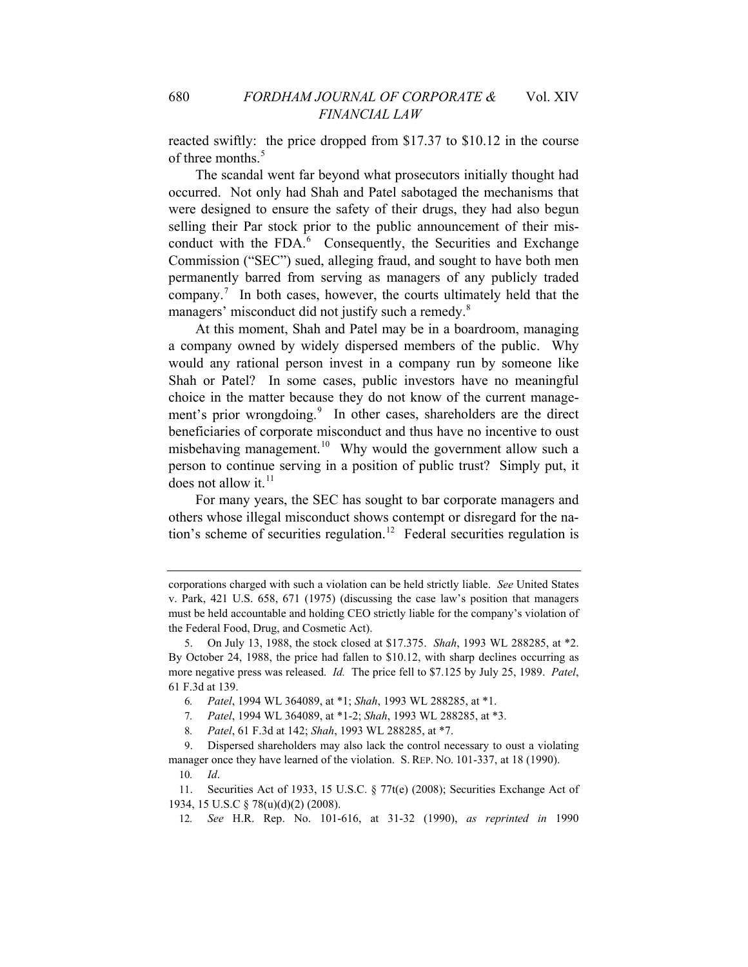reacted swiftly: the price dropped from \$17.37 to \$10.12 in the course of three months.<sup>[5](#page-2-0)</sup>

The scandal went far beyond what prosecutors initially thought had occurred. Not only had Shah and Patel sabotaged the mechanisms that were designed to ensure the safety of their drugs, they had also begun selling their Par stock prior to the public announcement of their mis-conduct with the FDA.<sup>[6](#page-2-1)</sup> Consequently, the Securities and Exchange Commission ("SEC") sued, alleging fraud, and sought to have both men permanently barred from serving as managers of any publicly traded company.<sup>[7](#page-2-2)</sup> In both cases, however, the courts ultimately held that the managers' misconduct did not justify such a remedy.<sup>[8](#page-2-3)</sup>

At this moment, Shah and Patel may be in a boardroom, managing a company owned by widely dispersed members of the public. Why would any rational person invest in a company run by someone like Shah or Patel? In some cases, public investors have no meaningful choice in the matter because they do not know of the current manage-ment's prior wrongdoing.<sup>[9](#page-2-4)</sup> In other cases, shareholders are the direct beneficiaries of corporate misconduct and thus have no incentive to oust misbehaving management.<sup>[10](#page-2-5)</sup> Why would the government allow such a person to continue serving in a position of public trust? Simply put, it does not allow it. $^{11}$  $^{11}$  $^{11}$ 

For many years, the SEC has sought to bar corporate managers and others whose illegal misconduct shows contempt or disregard for the na-tion's scheme of securities regulation.<sup>[12](#page-2-7)</sup> Federal securities regulation is

corporations charged with such a violation can be held strictly liable. *See* United States v. Park, 421 U.S. 658, 671 (1975) (discussing the case law's position that managers must be held accountable and holding CEO strictly liable for the company's violation of the Federal Food, Drug, and Cosmetic Act).

<span id="page-2-0"></span><sup>5.</sup> On July 13, 1988, the stock closed at \$17.375. *Shah*, 1993 WL 288285, at \*2. By October 24, 1988, the price had fallen to \$10.12, with sharp declines occurring as more negative press was released. *Id.* The price fell to \$7.125 by July 25, 1989. *Patel*, 61 F.3d at 139.

<sup>6</sup>*. Patel*, 1994 WL 364089, at \*1; *Shah*, 1993 WL 288285, at \*1.

<sup>7</sup>*. Patel*, 1994 WL 364089, at \*1-2; *Shah*, 1993 WL 288285, at \*3.

<sup>8</sup>*. Patel*, 61 F.3d at 142; *Shah*, 1993 WL 288285, at \*7.

<span id="page-2-5"></span><span id="page-2-4"></span><span id="page-2-3"></span><span id="page-2-2"></span><span id="page-2-1"></span><sup>9.</sup> Dispersed shareholders may also lack the control necessary to oust a violating manager once they have learned of the violation. S. REP. NO. 101-337, at 18 (1990).

<sup>10</sup>*. Id*.

<span id="page-2-7"></span><span id="page-2-6"></span><sup>11.</sup> Securities Act of 1933, 15 U.S.C. § 77t(e) (2008); Securities Exchange Act of 1934, 15 U.S.C § 78(u)(d)(2) (2008).

<sup>12</sup>*. See* H.R. Rep. No. 101-616, at 31-32 (1990), *as reprinted in* 1990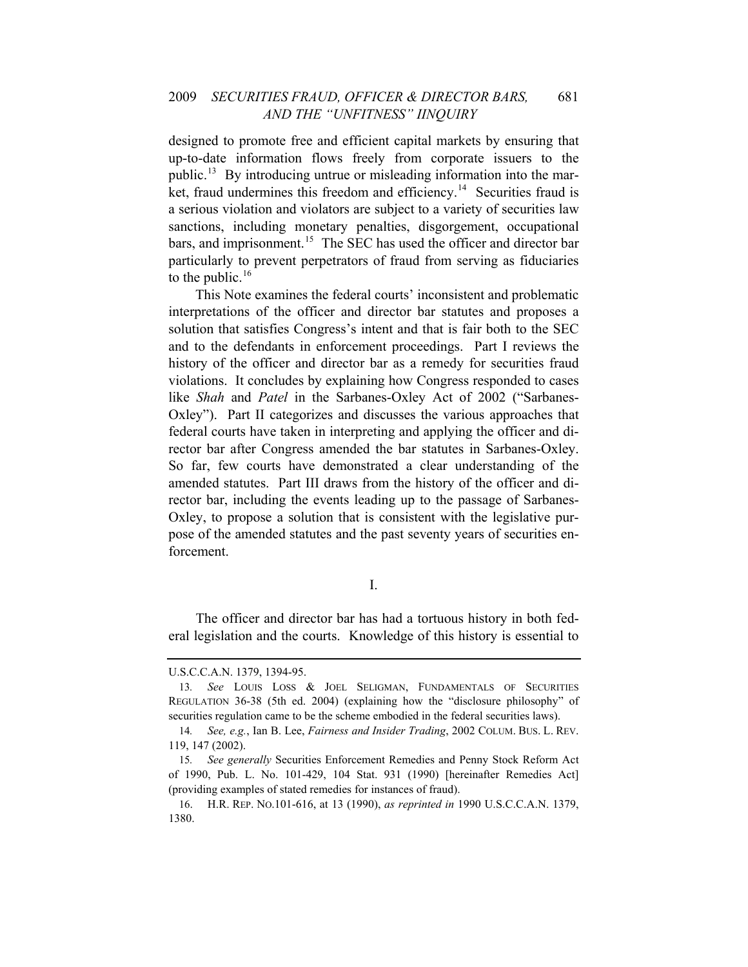designed to promote free and efficient capital markets by ensuring that up-to-date information flows freely from corporate issuers to the public.<sup>[13](#page-3-0)</sup> By introducing untrue or misleading information into the mar-ket, fraud undermines this freedom and efficiency.<sup>[14](#page-3-1)</sup> Securities fraud is a serious violation and violators are subject to a variety of securities law sanctions, including monetary penalties, disgorgement, occupational bars, and imprisonment.<sup>[15](#page-3-2)</sup> The SEC has used the officer and director bar particularly to prevent perpetrators of fraud from serving as fiduciaries to the public. $16$ 

This Note examines the federal courts' inconsistent and problematic interpretations of the officer and director bar statutes and proposes a solution that satisfies Congress's intent and that is fair both to the SEC and to the defendants in enforcement proceedings. Part I reviews the history of the officer and director bar as a remedy for securities fraud violations. It concludes by explaining how Congress responded to cases like *Shah* and *Patel* in the Sarbanes-Oxley Act of 2002 ("Sarbanes-Oxley"). Part II categorizes and discusses the various approaches that federal courts have taken in interpreting and applying the officer and director bar after Congress amended the bar statutes in Sarbanes-Oxley. So far, few courts have demonstrated a clear understanding of the amended statutes. Part III draws from the history of the officer and director bar, including the events leading up to the passage of Sarbanes-Oxley, to propose a solution that is consistent with the legislative purpose of the amended statutes and the past seventy years of securities enforcement.

I.

The officer and director bar has had a tortuous history in both federal legislation and the courts. Knowledge of this history is essential to

<span id="page-3-0"></span>U.S.C.C.A.N. 1379, 1394-95.

<sup>13</sup>*. See* LOUIS LOSS & JOEL SELIGMAN, FUNDAMENTALS OF SECURITIES REGULATION 36-38 (5th ed. 2004) (explaining how the "disclosure philosophy" of securities regulation came to be the scheme embodied in the federal securities laws).

<span id="page-3-1"></span><sup>14</sup>*. See, e.g.*, Ian B. Lee, *Fairness and Insider Trading*, 2002 COLUM. BUS. L. REV. 119, 147 (2002).

<span id="page-3-2"></span><sup>15</sup>*. See generally* Securities Enforcement Remedies and Penny Stock Reform Act of 1990, Pub. L. No. 101-429, 104 Stat. 931 (1990) [hereinafter Remedies Act] (providing examples of stated remedies for instances of fraud).

<span id="page-3-3"></span><sup>16.</sup> H.R. REP. NO.101-616, at 13 (1990), *as reprinted in* 1990 U.S.C.C.A.N. 1379, 1380.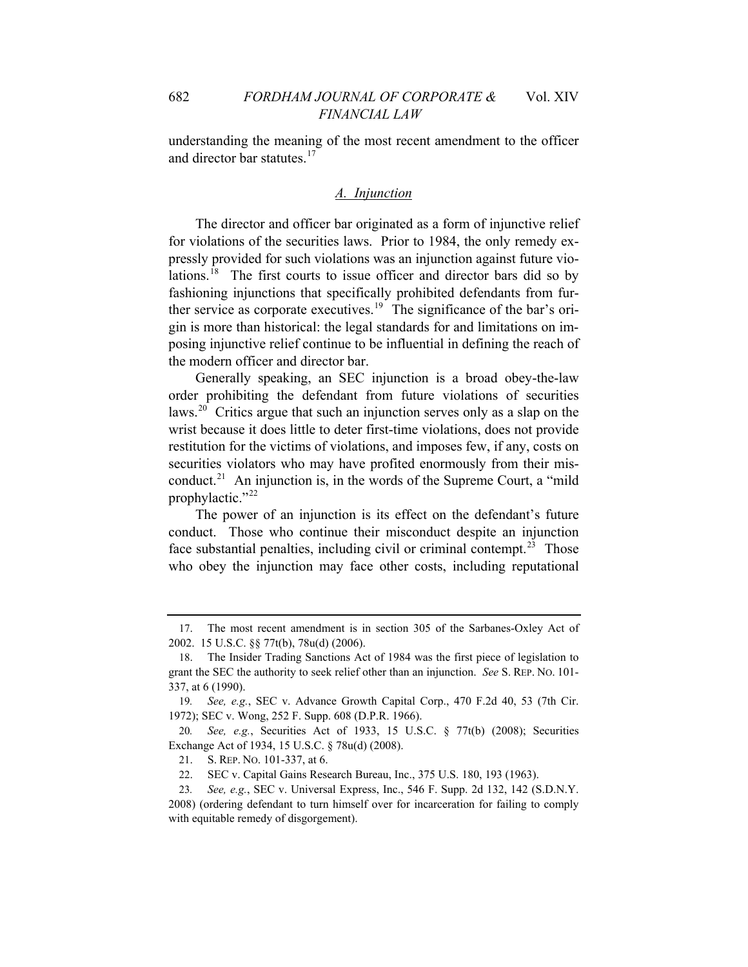understanding the meaning of the most recent amendment to the officer and director bar statutes.<sup>[17](#page-4-0)</sup>

#### *A. Injunction*

The director and officer bar originated as a form of injunctive relief for violations of the securities laws. Prior to 1984, the only remedy expressly provided for such violations was an injunction against future violations.[18](#page-4-1) The first courts to issue officer and director bars did so by fashioning injunctions that specifically prohibited defendants from fur-ther service as corporate executives.<sup>[19](#page-4-2)</sup> The significance of the bar's origin is more than historical: the legal standards for and limitations on imposing injunctive relief continue to be influential in defining the reach of the modern officer and director bar.

Generally speaking, an SEC injunction is a broad obey-the-law order prohibiting the defendant from future violations of securities laws.<sup>[20](#page-4-3)</sup> Critics argue that such an injunction serves only as a slap on the wrist because it does little to deter first-time violations, does not provide restitution for the victims of violations, and imposes few, if any, costs on securities violators who may have profited enormously from their mis-conduct.<sup>[21](#page-4-4)</sup> An injunction is, in the words of the Supreme Court, a "mild" prophylactic."<sup>[22](#page-4-5)</sup>

The power of an injunction is its effect on the defendant's future conduct. Those who continue their misconduct despite an injunction face substantial penalties, including civil or criminal contempt.<sup>[23](#page-4-6)</sup> Those who obey the injunction may face other costs, including reputational

<span id="page-4-0"></span><sup>17.</sup> The most recent amendment is in section 305 of the Sarbanes-Oxley Act of 2002. 15 U.S.C. §§ 77t(b), 78u(d) (2006).

<span id="page-4-1"></span><sup>18.</sup> The Insider Trading Sanctions Act of 1984 was the first piece of legislation to grant the SEC the authority to seek relief other than an injunction. *See* S. REP. NO. 101- 337, at 6 (1990).

<span id="page-4-2"></span><sup>19</sup>*. See, e.g.*, SEC v. Advance Growth Capital Corp., 470 F.2d 40, 53 (7th Cir. 1972); SEC v. Wong, 252 F. Supp. 608 (D.P.R. 1966).

<span id="page-4-3"></span><sup>20</sup>*. See, e.g.*, Securities Act of 1933, 15 U.S.C. § 77t(b) (2008); Securities Exchange Act of 1934, 15 U.S.C. § 78u(d) (2008).

<sup>21.</sup> S. REP. NO. 101-337, at 6.

<sup>22.</sup> SEC v. Capital Gains Research Bureau, Inc., 375 U.S. 180, 193 (1963).

<span id="page-4-6"></span><span id="page-4-5"></span><span id="page-4-4"></span><sup>23</sup>*. See, e.g.*, SEC v. Universal Express, Inc., 546 F. Supp. 2d 132, 142 (S.D.N.Y. 2008) (ordering defendant to turn himself over for incarceration for failing to comply with equitable remedy of disgorgement).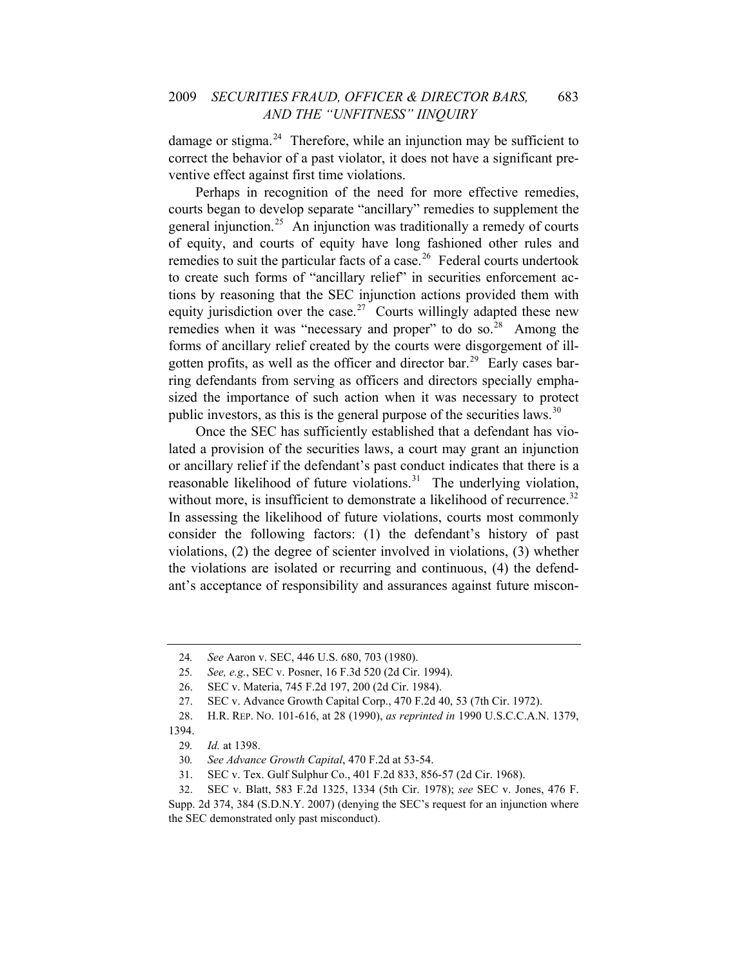damage or stigma. $^{24}$  $^{24}$  $^{24}$  Therefore, while an injunction may be sufficient to correct the behavior of a past violator, it does not have a significant preventive effect against first time violations.

Perhaps in recognition of the need for more effective remedies, courts began to develop separate "ancillary" remedies to supplement the general injunction.<sup>[25](#page-5-1)</sup> An injunction was traditionally a remedy of courts of equity, and courts of equity have long fashioned other rules and remedies to suit the particular facts of a case.<sup>[26](#page-5-2)</sup> Federal courts undertook to create such forms of "ancillary relief" in securities enforcement actions by reasoning that the SEC injunction actions provided them with equity jurisdiction over the case.<sup>[27](#page-5-3)</sup> Courts willingly adapted these new remedies when it was "necessary and proper" to do so.<sup>[28](#page-5-4)</sup> Among the forms of ancillary relief created by the courts were disgorgement of ill-gotten profits, as well as the officer and director bar.<sup>[29](#page-5-5)</sup> Early cases barring defendants from serving as officers and directors specially emphasized the importance of such action when it was necessary to protect public investors, as this is the general purpose of the securities laws.<sup>[30](#page-5-6)</sup>

Once the SEC has sufficiently established that a defendant has violated a provision of the securities laws, a court may grant an injunction or ancillary relief if the defendant's past conduct indicates that there is a reasonable likelihood of future violations.<sup>[31](#page-5-7)</sup> The underlying violation, without more, is insufficient to demonstrate a likelihood of recurrence.<sup>[32](#page-5-8)</sup> In assessing the likelihood of future violations, courts most commonly consider the following factors: (1) the defendant's history of past violations, (2) the degree of scienter involved in violations, (3) whether the violations are isolated or recurring and continuous, (4) the defendant's acceptance of responsibility and assurances against future miscon-

<sup>24</sup>*. See* Aaron v. SEC, 446 U.S. 680, 703 (1980).

<span id="page-5-1"></span><span id="page-5-0"></span><sup>25</sup>*. See, e.g.*, SEC v. Posner, 16 F.3d 520 (2d Cir. 1994).

<sup>26.</sup> SEC v. Materia, 745 F.2d 197, 200 (2d Cir. 1984).

<sup>27.</sup> SEC v. Advance Growth Capital Corp., 470 F.2d 40, 53 (7th Cir. 1972).

<sup>28.</sup> H.R. REP. NO. 101-616, at 28 (1990), *as reprinted in* 1990 U.S.C.C.A.N. 1379,

<span id="page-5-6"></span><span id="page-5-5"></span><span id="page-5-4"></span><span id="page-5-3"></span><span id="page-5-2"></span><sup>1394.</sup> 

<sup>29</sup>*. Id.* at 1398.

<sup>30</sup>*. See Advance Growth Capital*, 470 F.2d at 53-54.

<sup>31.</sup> SEC v. Tex. Gulf Sulphur Co., 401 F.2d 833, 856-57 (2d Cir. 1968).

<sup>32.</sup> SEC v. Blatt, 583 F.2d 1325, 1334 (5th Cir. 1978); *see* SEC v. Jones, 476 F.

<span id="page-5-8"></span><span id="page-5-7"></span>Supp. 2d 374, 384 (S.D.N.Y. 2007) (denying the SEC's request for an injunction where the SEC demonstrated only past misconduct).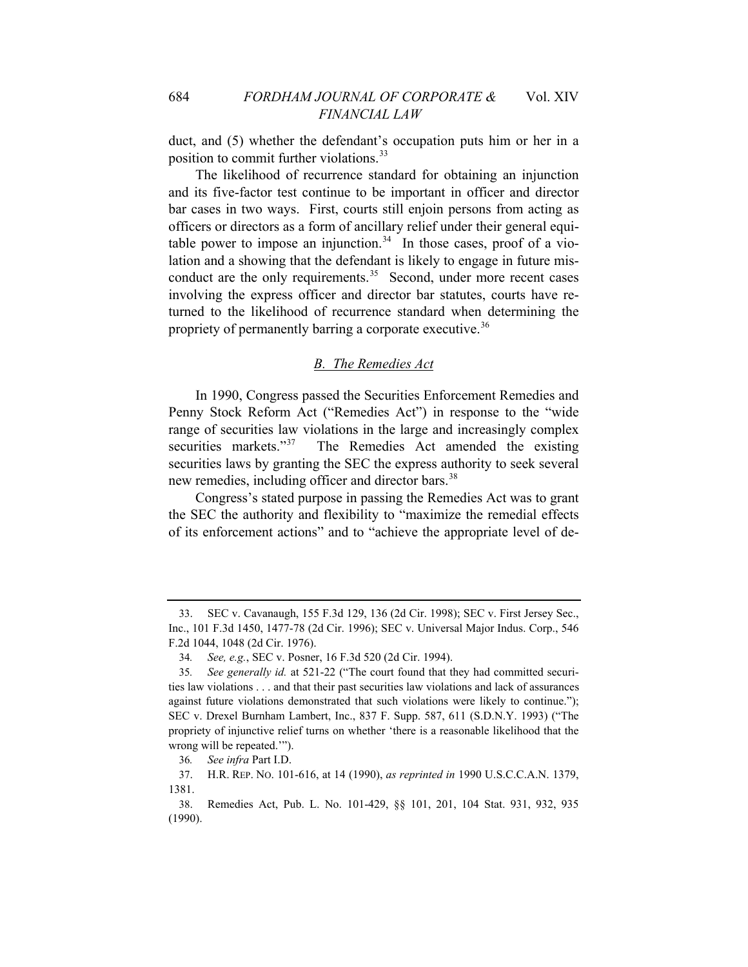duct, and (5) whether the defendant's occupation puts him or her in a position to commit further violations.<sup>[33](#page-6-0)</sup>

The likelihood of recurrence standard for obtaining an injunction and its five-factor test continue to be important in officer and director bar cases in two ways. First, courts still enjoin persons from acting as officers or directors as a form of ancillary relief under their general equi-table power to impose an injunction.<sup>[34](#page-6-1)</sup> In those cases, proof of a violation and a showing that the defendant is likely to engage in future misconduct are the only requirements. $35$  Second, under more recent cases involving the express officer and director bar statutes, courts have returned to the likelihood of recurrence standard when determining the propriety of permanently barring a corporate executive.<sup>[36](#page-6-3)</sup>

#### *B. The Remedies Act*

In 1990, Congress passed the Securities Enforcement Remedies and Penny Stock Reform Act ("Remedies Act") in response to the "wide range of securities law violations in the large and increasingly complex securities markets."<sup>[37](#page-6-4)</sup> The Remedies Act amended the existing securities laws by granting the SEC the express authority to seek several new remedies, including officer and director bars.<sup>38</sup>

Congress's stated purpose in passing the Remedies Act was to grant the SEC the authority and flexibility to "maximize the remedial effects of its enforcement actions" and to "achieve the appropriate level of de-

<span id="page-6-0"></span><sup>33.</sup> SEC v. Cavanaugh, 155 F.3d 129, 136 (2d Cir. 1998); SEC v. First Jersey Sec., Inc., 101 F.3d 1450, 1477-78 (2d Cir. 1996); SEC v. Universal Major Indus. Corp., 546 F.2d 1044, 1048 (2d Cir. 1976).

<sup>34</sup>*. See, e.g.*, SEC v. Posner, 16 F.3d 520 (2d Cir. 1994).

<span id="page-6-2"></span><span id="page-6-1"></span><sup>35</sup>*. See generally id.* at 521-22 ("The court found that they had committed securities law violations . . . and that their past securities law violations and lack of assurances against future violations demonstrated that such violations were likely to continue."); SEC v. Drexel Burnham Lambert, Inc., 837 F. Supp. 587, 611 (S.D.N.Y. 1993) ("The propriety of injunctive relief turns on whether 'there is a reasonable likelihood that the wrong will be repeated.'").

<sup>36</sup>*. See infra* Part I.D.

<span id="page-6-4"></span><span id="page-6-3"></span><sup>37.</sup> H.R. REP. NO. 101-616, at 14 (1990), *as reprinted in* 1990 U.S.C.C.A.N. 1379, 1381.

<sup>38.</sup> Remedies Act, Pub. L. No. 101-429, §§ 101, 201, 104 Stat. 931, 932, 935 (1990).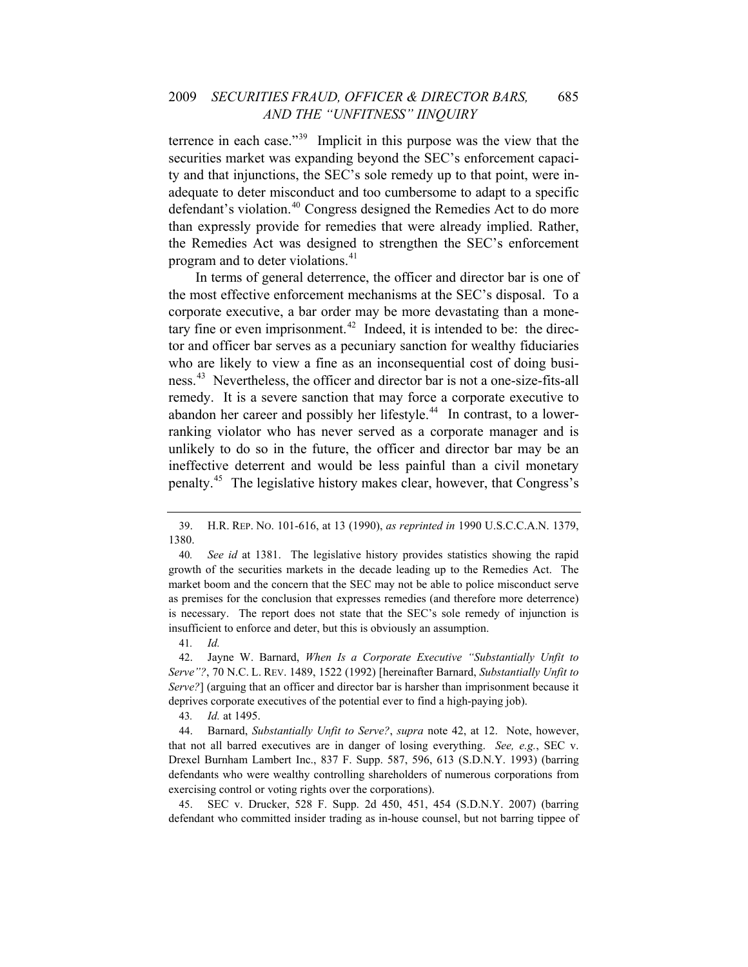#### 2009 *SECURITIES FRAUD, OFFICER & DIRECTOR BARS,* 685 *AND THE "UNFITNESS" IINQUIRY*

terrence in each case."[39](#page-7-0) Implicit in this purpose was the view that the securities market was expanding beyond the SEC's enforcement capacity and that injunctions, the SEC's sole remedy up to that point, were inadequate to deter misconduct and too cumbersome to adapt to a specific defendant's violation.<sup>[40](#page-7-1)</sup> Congress designed the Remedies Act to do more than expressly provide for remedies that were already implied. Rather, the Remedies Act was designed to strengthen the SEC's enforcement program and to deter violations.<sup>[41](#page-7-2)</sup>

In terms of general deterrence, the officer and director bar is one of the most effective enforcement mechanisms at the SEC's disposal. To a corporate executive, a bar order may be more devastating than a mone-tary fine or even imprisonment.<sup>[42](#page-7-3)</sup> Indeed, it is intended to be: the director and officer bar serves as a pecuniary sanction for wealthy fiduciaries who are likely to view a fine as an inconsequential cost of doing business.[43](#page-7-4) Nevertheless, the officer and director bar is not a one-size-fits-all remedy. It is a severe sanction that may force a corporate executive to abandon her career and possibly her lifestyle.<sup>[44](#page-7-5)</sup> In contrast, to a lowerranking violator who has never served as a corporate manager and is unlikely to do so in the future, the officer and director bar may be an ineffective deterrent and would be less painful than a civil monetary penalty.[45](#page-7-6) The legislative history makes clear, however, that Congress's

41*. Id.*

43*. Id.* at 1495.

<span id="page-7-6"></span>45. SEC v. Drucker, 528 F. Supp. 2d 450, 451, 454 (S.D.N.Y. 2007) (barring defendant who committed insider trading as in-house counsel, but not barring tippee of

<span id="page-7-0"></span><sup>39.</sup> H.R. REP. NO. 101-616, at 13 (1990), *as reprinted in* 1990 U.S.C.C.A.N. 1379, 1380.

<span id="page-7-1"></span><sup>40</sup>*. See id* at 1381. The legislative history provides statistics showing the rapid growth of the securities markets in the decade leading up to the Remedies Act. The market boom and the concern that the SEC may not be able to police misconduct serve as premises for the conclusion that expresses remedies (and therefore more deterrence) is necessary. The report does not state that the SEC's sole remedy of injunction is insufficient to enforce and deter, but this is obviously an assumption.

<span id="page-7-3"></span><span id="page-7-2"></span><sup>42.</sup> Jayne W. Barnard, *When Is a Corporate Executive "Substantially Unfit to Serve"?*, 70 N.C. L. REV. 1489, 1522 (1992) [hereinafter Barnard, *Substantially Unfit to Serve?*] (arguing that an officer and director bar is harsher than imprisonment because it deprives corporate executives of the potential ever to find a high-paying job).

<span id="page-7-5"></span><span id="page-7-4"></span><sup>44.</sup> Barnard, *Substantially Unfit to Serve?*, *supra* note 42, at 12. Note, however, that not all barred executives are in danger of losing everything. *See, e.g.*, SEC v. Drexel Burnham Lambert Inc., 837 F. Supp. 587, 596, 613 (S.D.N.Y. 1993) (barring defendants who were wealthy controlling shareholders of numerous corporations from exercising control or voting rights over the corporations).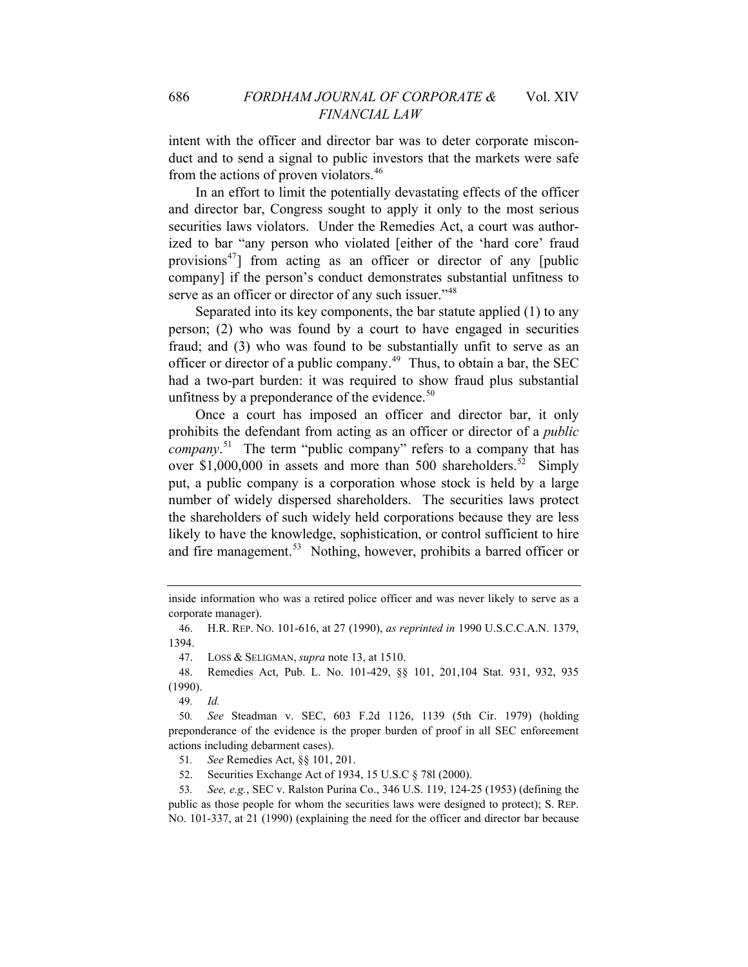intent with the officer and director bar was to deter corporate misconduct and to send a signal to public investors that the markets were safe from the actions of proven violators.<sup>[46](#page-8-0)</sup>

In an effort to limit the potentially devastating effects of the officer and director bar, Congress sought to apply it only to the most serious securities laws violators. Under the Remedies Act, a court was authorized to bar "any person who violated [either of the 'hard core' fraud provisions<sup>[47](#page-8-1)</sup>] from acting as an officer or director of any [public company] if the person's conduct demonstrates substantial unfitness to serve as an officer or director of any such issuer."<sup>[48](#page-8-2)</sup>

Separated into its key components, the bar statute applied (1) to any person; (2) who was found by a court to have engaged in securities fraud; and (3) who was found to be substantially unfit to serve as an officer or director of a public company.<sup>[49](#page-8-3)</sup> Thus, to obtain a bar, the SEC had a two-part burden: it was required to show fraud plus substantial unfitness by a preponderance of the evidence. $50$ 

Once a court has imposed an officer and director bar, it only prohibits the defendant from acting as an officer or director of a *public company*. [51](#page-8-5) The term "public company" refers to a company that has over \$1,000,000 in assets and more than 500 shareholders.<sup>[52](#page-8-6)</sup> Simply put, a public company is a corporation whose stock is held by a large number of widely dispersed shareholders. The securities laws protect the shareholders of such widely held corporations because they are less likely to have the knowledge, sophistication, or control sufficient to hire and fire management.<sup>[53](#page-8-7)</sup> Nothing, however, prohibits a barred officer or

<span id="page-8-0"></span>46. H.R. REP. NO. 101-616, at 27 (1990), *as reprinted in* 1990 U.S.C.C.A.N. 1379, 1394.

47. LOSS & SELIGMAN, *supra* note 13, at 1510.

<span id="page-8-2"></span><span id="page-8-1"></span>48. Remedies Act, Pub. L. No. 101-429, §§ 101, 201,104 Stat. 931, 932, 935 (1990).

49*. Id.*

<span id="page-8-4"></span><span id="page-8-3"></span>50*. See* Steadman v. SEC, 603 F.2d 1126, 1139 (5th Cir. 1979) (holding preponderance of the evidence is the proper burden of proof in all SEC enforcement actions including debarment cases).

51*. See* Remedies Act, §§ 101, 201.

52. Securities Exchange Act of 1934, 15 U.S.C § 78l (2000).

<span id="page-8-7"></span><span id="page-8-6"></span><span id="page-8-5"></span>53*. See, e.g.*, SEC v. Ralston Purina Co., 346 U.S. 119, 124-25 (1953) (defining the public as those people for whom the securities laws were designed to protect); S. REP. NO. 101-337, at 21 (1990) (explaining the need for the officer and director bar because

inside information who was a retired police officer and was never likely to serve as a corporate manager).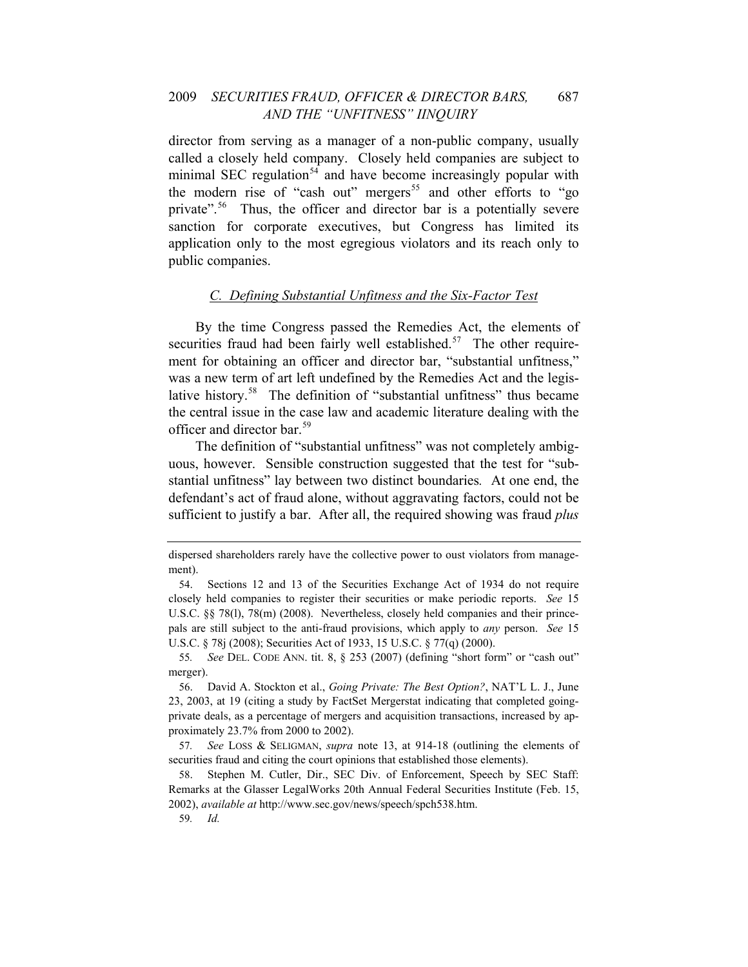#### 2009 *SECURITIES FRAUD, OFFICER & DIRECTOR BARS,* 687 *AND THE "UNFITNESS" IINQUIRY*

application only to the most egregious violators and its reach only to public companies. director from serving as a manager of a non-public company, usually called a closely held company. Closely held companies are subject to minimal SEC regulation<sup>[54](#page-9-0)</sup> and have become increasingly popular with the modern rise of "cash out" mergers<sup>[55](#page-9-1)</sup> and other efforts to "go private".<sup>[56](#page-9-2)</sup> Thus, the officer and director bar is a potentially severe sanction for corporate executives, but Congress has limited its

#### *C. Defining Substantial Unfitness and the Six-Factor Test*

the central issue in the case law and academic literature dealing with the offic er and director bar.[59](#page-10-0) By the time Congress passed the Remedies Act, the elements of securities fraud had been fairly well established[.](#page-9-3)<sup>57</sup> The other requirement for obtaining an officer and director bar, "substantial unfitness," was a new term of art left undefined by the Remedies Act and the legislative history.<sup>58</sup> The definition of "substantial unfitness" thus became

[The definition of "substantial unfitness" was not completely ambig](#page-10-0)[uous, however. Sensible construction suggested that the test for "sub](#page-10-0)[stantial unfitness" lay between two distinct boundaries](#page-10-0)*.* At one end, the [defendant's act of fraud alone, without aggravating factors, could not be](#page-10-0)  [sufficient to justify a bar. After all, the required showing was fraud](#page-10-0) *plus* 

<span id="page-9-1"></span>55*. See* DEL. CODE ANN. tit. 8, § 253 (2007) (defining "short form" or "cash out" merger).

59*. Id.*

dispersed shareholders rarely have the collective power to oust violators from management).

<span id="page-9-0"></span><sup>54.</sup> Sections 12 and 13 of the Securities Exchange Act of 1934 do not require closely held companies to register their securities or make periodic reports. *See* 15 U.S.C. §§ 78(1), 78(m) (2008). Nevertheless, closely held companies and their princepals are still subject to the anti-fraud provisions, which apply to *any* person. *See* 15 U.S.C. § 78j (2008); Securities Act of 1933, 15 U.S.C. § 77(q) (2000).

<span id="page-9-2"></span><sup>56.</sup> David A. Stockton et al., *Going Private: The Best Option?*, NAT'L L. J., June 23, 2003, at 19 (citing a study by FactSet Mergerstat indicating that completed goingprivate deals, as a percentage of mergers and acquisition transactions, increased by approximately 23.7% from 2000 to 2002).

<span id="page-9-3"></span><sup>57</sup>*. See* LOSS & SELIGMAN, *supra* note 13, at 914-18 (outlining the elements of securities fraud and citing the court opinions that established those elements).

<span id="page-9-4"></span><sup>58.</sup> Stephen M. Cutler, Dir., SEC Div. of Enforcement, Speech by SEC Staff: Remarks at the Glasser LegalWorks 20th Annual Federal Securities Institute (Feb. 15, 2002), *available at* http://www.sec.gov/news/speech/spch538.htm.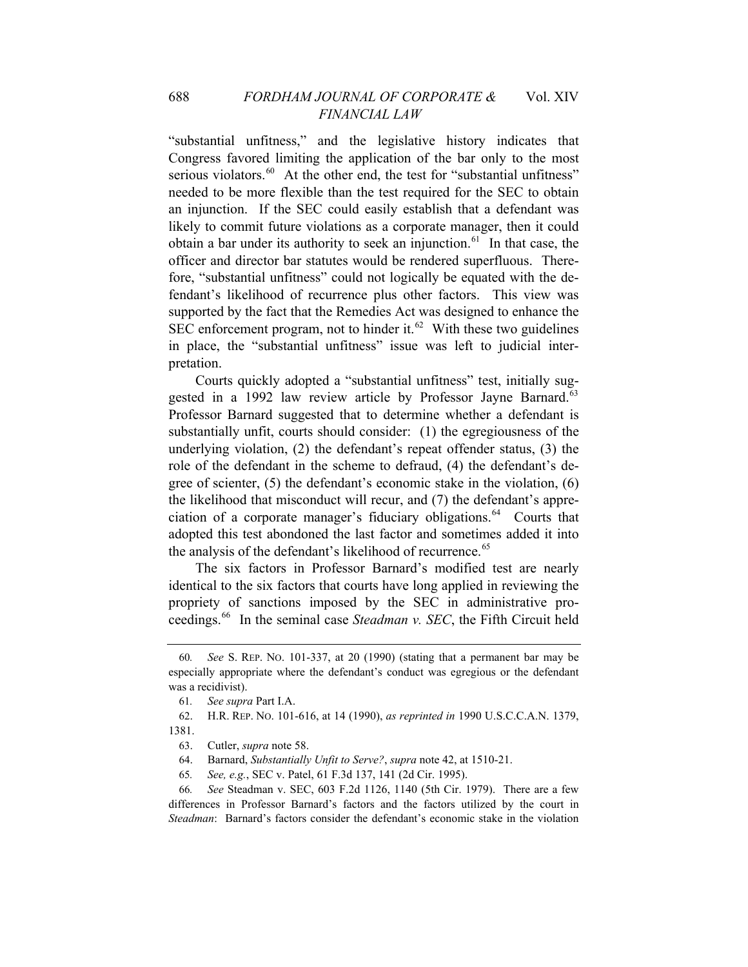[in place,](#page-10-2) the "substantial unfitness" issue was left to judicial interpreta tion. ["substantial unfitness," and the legislative history indicates that](#page-10-0)  [Congress favored limiting the application of the bar only to the most](#page-10-0)  [serious violators.](#page-10-0)<sup>60</sup> At the other end, the test for "substantial unfitness" [needed to be more flexible than the test required for the SEC to obtain](#page-10-1)  [an injunction. If the SEC could easily establish that a defendant was](#page-10-1)  [likely to commit future violations as a corporate manager, then it could](#page-10-1)  [obtain a bar under its authority to seek an injunction.](#page-10-1) $61$  In that case, the [officer and director bar statutes would be rendered superfluous. There](#page-10-2)[fore, "substantial unfitness" could not logically be equated with the de](#page-10-2)[fendant's likelihood of recurrence plus other factors. This view was](#page-10-2)  [supported by the fact that the Remedies Act was designed to enhance the](#page-10-2)  [SEC enforcement program, not to hinder it.](#page-10-2)<sup>62</sup> With these two guidelines

adopted this test abondoned the last factor and sometimes added it into the analysis of the defendant's likelihood of recurrence.<sup>[65](#page-10-5)</sup> Courts quickly adopted a "substantial unfitness" test, initially sug-gested in a 1992 law review article by Professor Jayne Barnard.<sup>[63](#page-10-3)</sup> Professor Barnard suggested that to determine whether a defendant is substantially unfit, courts should consider: (1) the egregiousness of the underlying violation, (2) the defendant's repeat offender status, (3) the role of the defendant in the scheme to defraud, (4) the defendant's degree of scienter, (5) the defendant's economic stake in the violation, (6) the likelihood that misconduct will recur, and (7) the defendant's appre-ciation of a corporate manager's fiduciary obligations.<sup>[64](#page-10-4)</sup> Courts that

ceedings.66 In the seminal case *Steadman v. SEC*, the Fifth Circuit held [The six factors in Professor Barnard's modified test are nearly](#page-10-5)  [identical to the six factors that courts have long applied in reviewing the](#page-10-5)  [propriety of sanctions imposed by the SEC in administrative pro-](#page-10-5)

<span id="page-10-0"></span><sup>60</sup>*. See* S. REP. NO. 101-337, at 20 (1990) (stating that a permanent bar may be especially appropriate where the defendant's conduct was egregious or the defendant was a recidivist).

<sup>61</sup>*. See supra* Part I.A.

<span id="page-10-3"></span><span id="page-10-2"></span><span id="page-10-1"></span>H.R. REP. NO. 101-616, at 14 (1990), *as reprinted in* 1990 U.S.C.C.A.N. 1379, 62. 1381.

<sup>63.</sup> Cutler, *supra* note 58.

<sup>510-21.</sup>  64. Barnard, *Substantially Unfit to Serve?*, *supra* note 42, at 1

<sup>65</sup>*. See, e.g.*, SEC v. Patel, 61 F.3d 137, 141 (2d Cir. 1995).

<span id="page-10-5"></span><span id="page-10-4"></span><sup>66</sup>*. See* Steadman v. SEC, 603 F.2d 1126, 1140 (5th Cir. 1979). There are a few differences in Professor Barnard's factors and the factors utilized by the court in *Steadman*:Barnard's factors consider the defendant's economic stake in the violation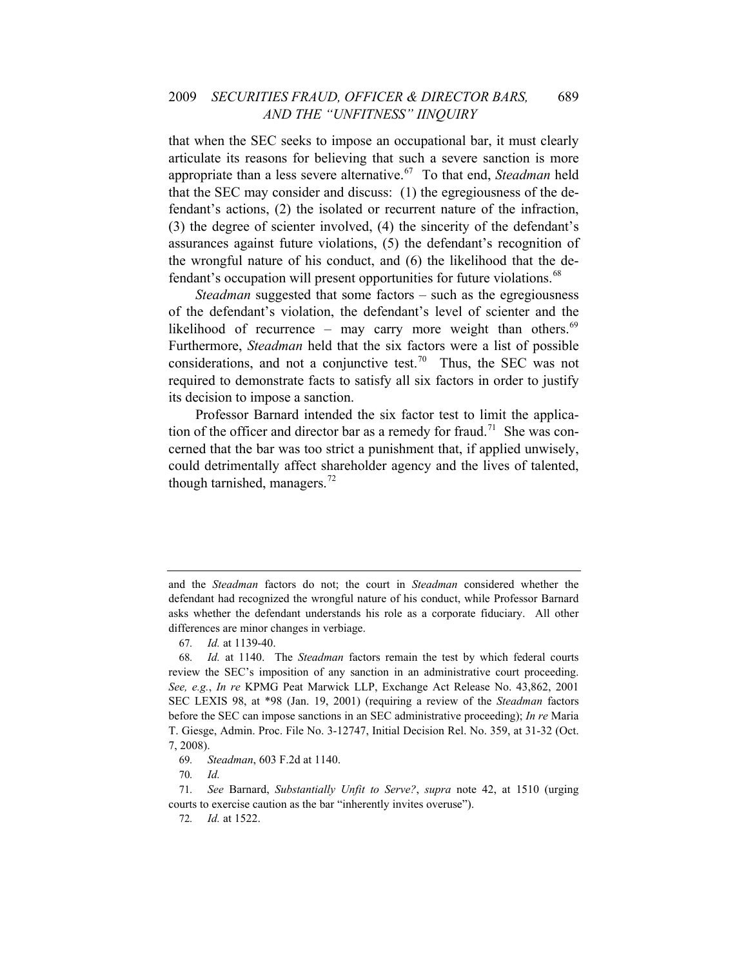#### 2009 *SECURITIES FRAUD, OFFICER & DIRECTOR BARS,* 689 *AND THE "UNFITNESS" IINQUIRY*

[that when the SEC seeks to impose an occupational bar, it must clearly](#page-10-5)  [articulate its reasons for believing that such a severe sanction is more](#page-10-5)  [appropriate than a less severe alternative.](#page-10-5)67 [To that end,](#page-11-0) *Steadman* held [that the SEC may consider and discuss: \(1\) the egregiousness of the de](#page-11-0)[fendant's actions, \(2\) the isolated or recurrent nature of the infraction,](#page-11-0)  [\(3\) the degree of scienter involved, \(4\) the sincerity of the defendant's](#page-11-0)  [assurances against future violations, \(5\) the defendant's recognition of](#page-11-0)  [the wrongful nature of his conduct, and \(6\) the likelihood that the de](#page-11-0)[fendant's occupation will present opportunities for future violations.](#page-11-0)<sup>68</sup>

its decision to impose a sanction. *Steadman* suggested that some factors – such as the egregiousness of the defendant's violation, the defendant's level of scienter and the likelihood of recurrence – may carry more weight than others. $69$ Furthermore, *Steadman* held that the six factors were a list of possible considerations, and not a conjunctive test.<sup>[70](#page-11-2)</sup> Thus, the SEC was not required to demonstrate facts to satisfy all six factors in order to justify

Professor Barnard intended the six factor test to limit the applica-tion of the officer and director bar as a remedy for fraud.<sup>[71](#page-11-3)</sup> She was concerned that the bar was too strict a punishment that, if applied unwisely, could detrimentally affect shareholder agency and the lives of talented, though tarnished, managers. $^{72}$  $^{72}$  $^{72}$ 

and the *Steadman* factors do not; the court in *Steadman* considered whether the defendant had recognized the wrongful nature of his conduct, while Professor Barnard asks whether the defendant understands his role as a corporate fiduciary. All other differences are minor changes in verbiage.

<sup>67</sup>*. Id.* at 1139-40.

<span id="page-11-0"></span><sup>68</sup>*. Id.* at 1140. The *Steadman* factors remain the test by which federal courts review the SEC's imposition of any sanction in an administrative court proceeding. *See, e.g.*, *In re* KPMG Peat Marwick LLP, Exchange Act Release No. 43,862, 2001 SEC LEXIS 98, at \*98 (Jan. 19, 2001) (requiring a review of the *Steadman* factors before the SEC can impose sanctions in an SEC administrative proceeding); *In re* Maria T. Giesge, Admin. Proc. File No. 3-12747, Initial Decision Rel. No. 359, at 31-32 (Oct. 7, 2008).

<sup>69</sup>*. Steadman*, 603 F.2d at 1140.

<sup>70</sup>*. Id.*

<span id="page-11-4"></span><span id="page-11-3"></span><span id="page-11-2"></span><span id="page-11-1"></span><sup>71</sup>*. See* Barnard, *Substantially Unfit to Serve?*, *supra* note 42, at 1510 (urging courts to exercise caution as the bar "inherently invites overuse").

<sup>72</sup>*. Id.* at 1522.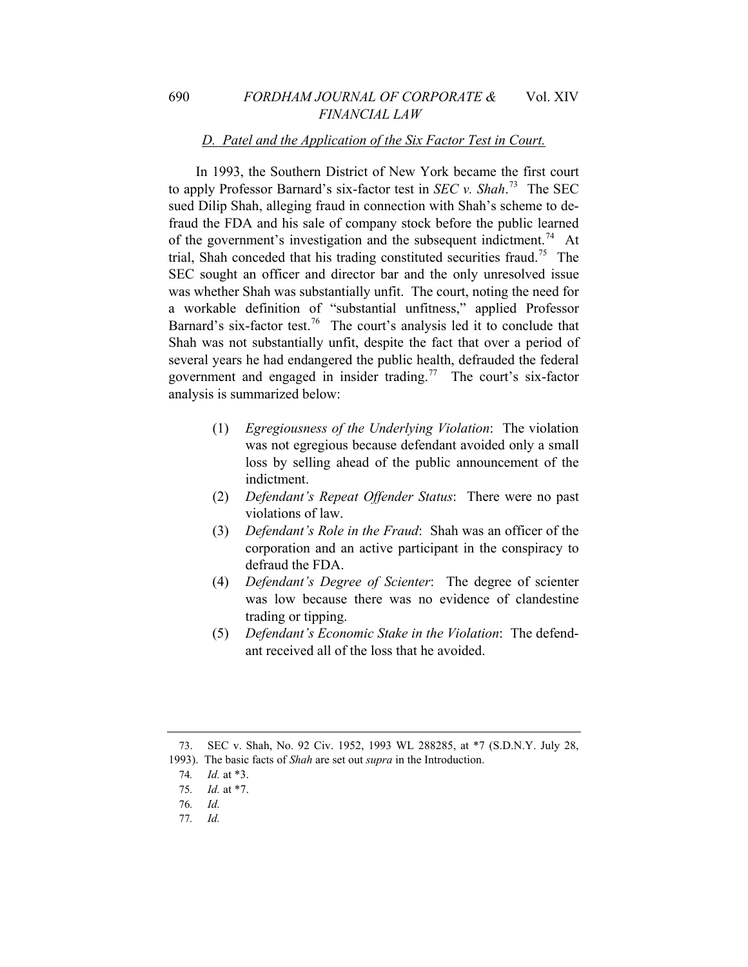#### *D. Patel and the Application of the Six Factor Test in Court.*

In 1993, the Southern District of New York became the first court to apply Professor Barnard's six-factor test in *SEC v. Shah*. [73](#page-12-0) The SEC sued Dilip Shah, alleging fraud in connection with Shah's scheme to defraud the FDA and his sale of company stock before the public learned of the government's investigation and the subsequent indictment.<sup>[74](#page-12-1)</sup> At trial, Shah conceded that his trading constituted securities fraud.<sup>[75](#page-12-2)</sup> The SEC sought an officer and director bar and the only unresolved issue was whether Shah was substantially unfit. The court, noting the need for a workable definition of "substantial unfitness," applied Professor Barnard's six-factor test.<sup>[76](#page-12-3)</sup> The court's analysis led it to conclude that Shah was not substantially unfit, despite the fact that over a period of several years he had endangered the public health, defrauded the federal government and engaged in insider trading.<sup>[77](#page-12-4)</sup> The court's six-factor analysis is summarized below:

- (1) *Egregiousness of the Underlying Violation*: The violation was not egregious because defendant avoided only a small loss by selling ahead of the public announcement of the indictment.
- (2) *Defendant's Repeat Offender Status*: There were no past violations of law.
- (3) *Defendant's Role in the Fraud*: Shah was an officer of the corporation and an active participant in the conspiracy to defraud the FDA.
- (4) *Defendant's Degree of Scienter*: The degree of scienter was low because there was no evidence of clandestine trading or tipping.
- (5) *Defendant's Economic Stake in the Violation*: The defendant received all of the loss that he avoided.

<span id="page-12-4"></span>77*. Id.*

<sup>73.</sup> SEC v. Shah, No. 92 Civ. 1952, 1993 WL 288285, at \*7 (S.D.N.Y. July 28,

<span id="page-12-3"></span><span id="page-12-2"></span><span id="page-12-1"></span><span id="page-12-0"></span><sup>1993).</sup> The basic facts of *Shah* are set out *supra* in the Introduction.

<sup>74</sup>*. Id.* at \*3.

<sup>75</sup>*. Id.* at \*7.

<sup>76</sup>*. Id.*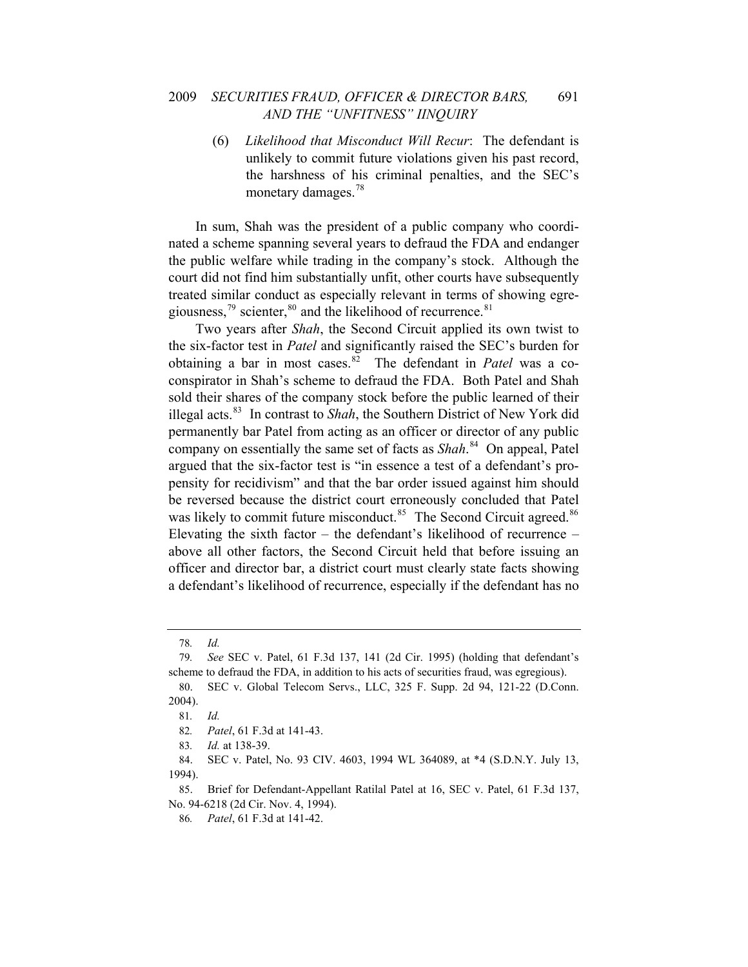(6) *Likelihood that Misconduct Will Recur*: The defendant is unlikely to commit future violations given his past record, the harshness of his criminal penalties, and the SEC's monetary damages.<sup>[78](#page-13-0)</sup>

In sum, Shah was the president of a public company who coordinated a scheme spanning several years to defraud the FDA and endanger the public welfare while trading in the company's stock. Although the court did not find him substantially unfit, other courts have subsequently treated similar conduct as especially relevant in terms of showing egregiousness, $^{79}$  $^{79}$  $^{79}$  scienter, $^{80}$  $^{80}$  $^{80}$  and the likelihood of recurrence. $^{81}$  $^{81}$  $^{81}$ 

Two years after *Shah*, the Second Circuit applied its own twist to the six-factor test in *Patel* and significantly raised the SEC's burden for obtaining a bar in most cases.[82](#page-13-4) The defendant in *Patel* was a coconspirator in Shah's scheme to defraud the FDA. Both Patel and Shah sold their shares of the company stock before the public learned of their illegal acts.[83](#page-13-5) In contrast to *Shah*, the Southern District of New York did permanently bar Patel from acting as an officer or director of any public company on essentially the same set of facts as *Shah*. [84](#page-13-6) On appeal, Patel argued that the six-factor test is "in essence a test of a defendant's propensity for recidivism" and that the bar order issued against him should be reversed because the district court erroneously concluded that Patel was likely to commit future misconduct.<sup>[85](#page-13-7)</sup> The Second Circuit agreed.<sup>86</sup> Elevating the sixth factor – the defendant's likelihood of recurrence – above all other factors, the Second Circuit held that before issuing an officer and director bar, a district court must clearly state facts showing a defendant's likelihood of recurrence, especially if the defendant has no

<sup>78</sup>*. Id.*

<span id="page-13-1"></span><span id="page-13-0"></span><sup>79</sup>*. See* SEC v. Patel, 61 F.3d 137, 141 (2d Cir. 1995) (holding that defendant's scheme to defraud the FDA, in addition to his acts of securities fraud, was egregious).

<span id="page-13-3"></span><span id="page-13-2"></span><sup>80.</sup> SEC v. Global Telecom Servs., LLC, 325 F. Supp. 2d 94, 121-22 (D.Conn. 2004).

<sup>81</sup>*. Id.*

<sup>82</sup>*. Patel*, 61 F.3d at 141-43.

<sup>83</sup>*. Id.* at 138-39.

<span id="page-13-6"></span><span id="page-13-5"></span><span id="page-13-4"></span><sup>84.</sup> SEC v. Patel, No. 93 CIV. 4603, 1994 WL 364089, at \*4 (S.D.N.Y. July 13, 1994).

<span id="page-13-8"></span><span id="page-13-7"></span><sup>85.</sup> Brief for Defendant-Appellant Ratilal Patel at 16, SEC v. Patel, 61 F.3d 137, No. 94-6218 (2d Cir. Nov. 4, 1994).

<sup>86</sup>*. Patel*, 61 F.3d at 141-42.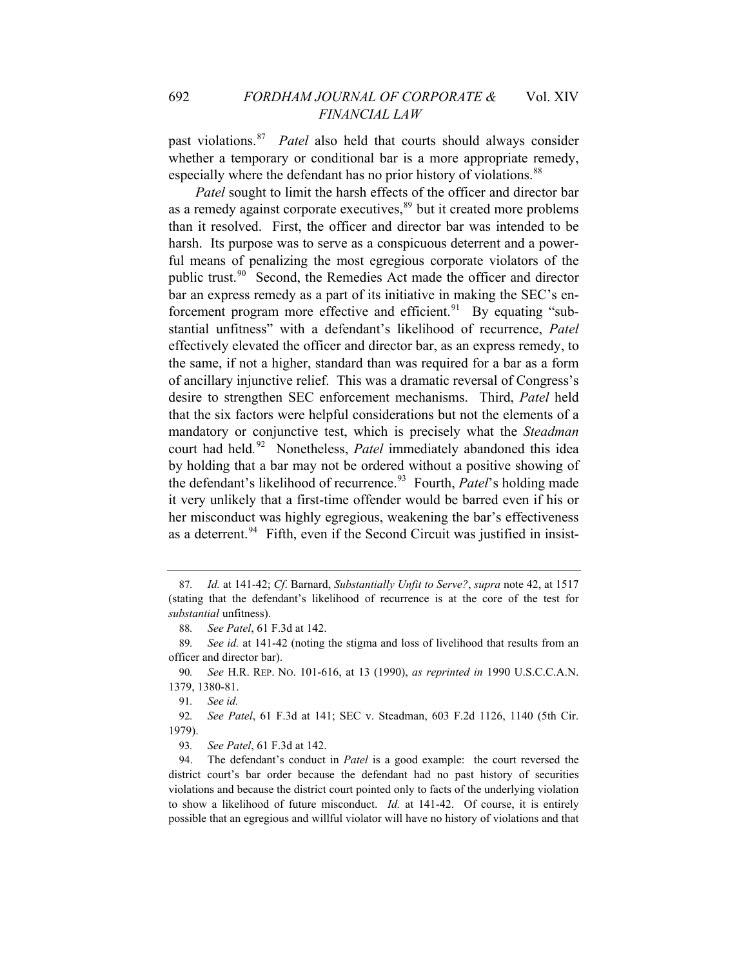past violations.[87](#page-14-0) *Patel* also held that courts should always consider whether a temporary or conditional bar is a more appropriate remedy, especially where the defendant has no prior history of violations.<sup>[88](#page-14-1)</sup>

*Patel* sought to limit the harsh effects of the officer and director bar as a remedy against corporate executives,<sup>[89](#page-14-2)</sup> but it created more problems than it resolved. First, the officer and director bar was intended to be harsh. Its purpose was to serve as a conspicuous deterrent and a powerful means of penalizing the most egregious corporate violators of the public trust.<sup>[90](#page-14-3)</sup> Second, the Remedies Act made the officer and director bar an express remedy as a part of its initiative in making the SEC's en-forcement program more effective and efficient.<sup>[91](#page-14-4)</sup> By equating "substantial unfitness" with a defendant's likelihood of recurrence, *Patel*  effectively elevated the officer and director bar, as an express remedy, to the same, if not a higher, standard than was required for a bar as a form of ancillary injunctive relief. This was a dramatic reversal of Congress's desire to strengthen SEC enforcement mechanisms. Third, *Patel* held that the six factors were helpful considerations but not the elements of a mandatory or conjunctive test, which is precisely what the *Steadman*  court had held*.* [92](#page-14-5) Nonetheless, *Patel* immediately abandoned this idea by holding that a bar may not be ordered without a positive showing of the defendant's likelihood of recurrence.<sup>[93](#page-14-6)</sup> Fourth, *Patel*'s holding made it very unlikely that a first-time offender would be barred even if his or her misconduct was highly egregious, weakening the bar's effectiveness as a deterrent.<sup>[94](#page-14-7)</sup> Fifth, even if the Second Circuit was justified in insist-

91*. See id.*

<span id="page-14-5"></span><span id="page-14-4"></span>92*. See Patel*, 61 F.3d at 141; SEC v. Steadman, 603 F.2d 1126, 1140 (5th Cir. 1979).

93*. See Patel*, 61 F.3d at 142.

<span id="page-14-0"></span><sup>87</sup>*. Id.* at 141-42; *Cf*. Barnard, *Substantially Unfit to Serve?*, *supra* note 42, at 1517 (stating that the defendant's likelihood of recurrence is at the core of the test for *substantial* unfitness).

<sup>88</sup>*. See Patel*, 61 F.3d at 142.

<span id="page-14-2"></span><span id="page-14-1"></span><sup>89</sup>*. See id.* at 141-42 (noting the stigma and loss of livelihood that results from an officer and director bar).

<span id="page-14-3"></span><sup>90</sup>*. See* H.R. REP. NO. 101-616, at 13 (1990), *as reprinted in* 1990 U.S.C.C.A.N. 1379, 1380-81.

<span id="page-14-7"></span><span id="page-14-6"></span><sup>94.</sup> The defendant's conduct in *Patel* is a good example: the court reversed the district court's bar order because the defendant had no past history of securities violations and because the district court pointed only to facts of the underlying violation to show a likelihood of future misconduct. *Id.* at 141-42. Of course, it is entirely possible that an egregious and willful violator will have no history of violations and that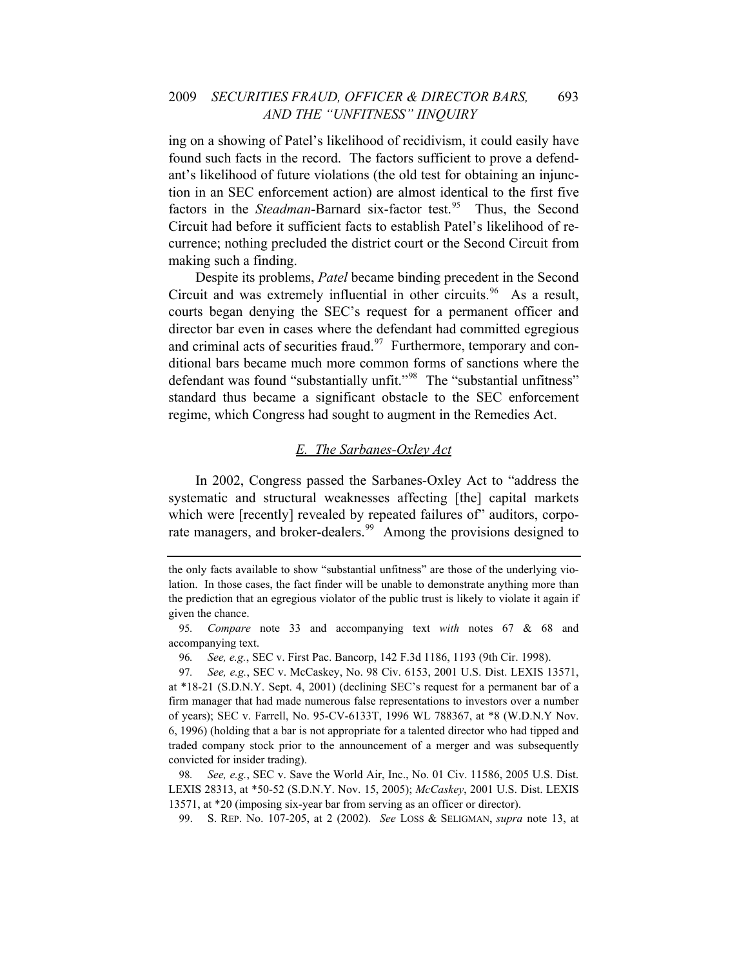ing on a showing of Patel's likelihood of recidivism, it could easily have found such facts in the record. The factors sufficient to prove a defendant's likelihood of future violations (the old test for obtaining an injunction in an SEC enforcement action) are almost identical to the first five factors in the *Steadman*-Barnard six-factor test.<sup>[95](#page-15-0)</sup> Thus, the Second Circuit had before it sufficient facts to establish Patel's likelihood of recurrence; nothing precluded the district court or the Second Circuit from making such a finding.

Despite its problems, *Patel* became binding precedent in the Second Circuit and was extremely influential in other circuits.<sup>[96](#page-15-1)</sup> As a result, courts began denying the SEC's request for a permanent officer and director bar even in cases where the defendant had committed egregious and criminal acts of securities fraud.<sup>[97](#page-15-2)</sup> Furthermore, temporary and conditional bars became much more common forms of sanctions where the defendant was found "substantially unfit."<sup>[98](#page-15-3)</sup> The "substantial unfitness" standard thus became a significant obstacle to the SEC enforcement regime, which Congress had sought to augment in the Remedies Act.

#### *E. The Sarbanes-Oxley Act*

In 2002, Congress passed the Sarbanes-Oxley Act to "address the systematic and structural weaknesses affecting [the] capital markets which were [recently] revealed by repeated failures of" auditors, corpo-rate managers, and broker-dealers.<sup>[99](#page-15-4)</sup> Among the provisions designed to

the only facts available to show "substantial unfitness" are those of the underlying violation. In those cases, the fact finder will be unable to demonstrate anything more than the prediction that an egregious violator of the public trust is likely to violate it again if given the chance.

<span id="page-15-0"></span><sup>95</sup>*. Compare* note 33 and accompanying text *with* notes 67 & 68 and accompanying text.

<sup>96</sup>*. See, e.g.*, SEC v. First Pac. Bancorp, 142 F.3d 1186, 1193 (9th Cir. 1998).

<span id="page-15-2"></span><span id="page-15-1"></span><sup>97</sup>*. See, e.g.*, SEC v. McCaskey, No. 98 Civ. 6153, 2001 U.S. Dist. LEXIS 13571, at \*18-21 (S.D.N.Y. Sept. 4, 2001) (declining SEC's request for a permanent bar of a firm manager that had made numerous false representations to investors over a number of years); SEC v. Farrell, No. 95-CV-6133T, 1996 WL 788367, at \*8 (W.D.N.Y Nov. 6, 1996) (holding that a bar is not appropriate for a talented director who had tipped and traded company stock prior to the announcement of a merger and was subsequently convicted for insider trading).

<span id="page-15-4"></span><span id="page-15-3"></span><sup>98</sup>*. See, e.g.*, SEC v. Save the World Air, Inc., No. 01 Civ. 11586, 2005 U.S. Dist. LEXIS 28313, at \*50-52 (S.D.N.Y. Nov. 15, 2005); *McCaskey*, 2001 U.S. Dist. LEXIS 13571, at \*20 (imposing six-year bar from serving as an officer or director).

<sup>99.</sup> S. REP. No. 107-205, at 2 (2002). *See* LOSS & SELIGMAN, *supra* note 13, at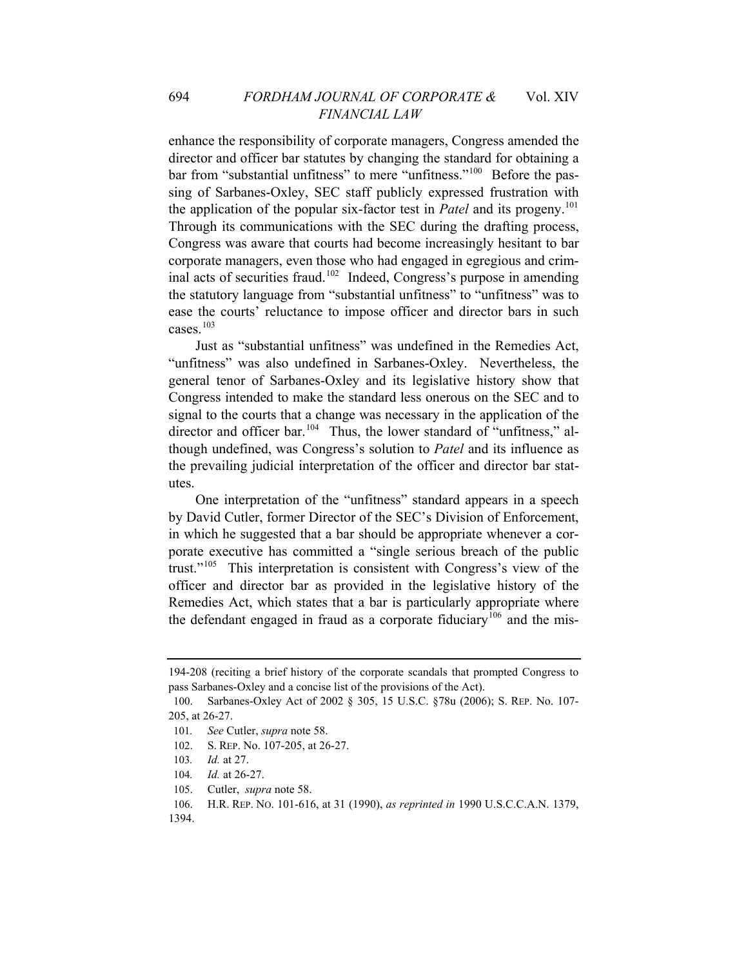enhance the responsibility of corporate managers, Congress amended the director and officer bar statutes by changing the standard for obtaining a bar from "substantial unfitness" to mere "unfitness."<sup>[100](#page-16-0)</sup> Before the passing of Sarbanes-Oxley, SEC staff publicly expressed frustration with the application of the popular six-factor test in *Patel* and its progeny.<sup>[101](#page-16-1)</sup> Through its communications with the SEC during the drafting process, Congress was aware that courts had become increasingly hesitant to bar corporate managers, even those who had engaged in egregious and criminal acts of securities fraud.[102](#page-16-2) Indeed, Congress's purpose in amending the statutory language from "substantial unfitness" to "unfitness" was to ease the courts' reluctance to impose officer and director bars in such cases $103$ 

Just as "substantial unfitness" was undefined in the Remedies Act, "unfitness" was also undefined in Sarbanes-Oxley. Nevertheless, the general tenor of Sarbanes-Oxley and its legislative history show that Congress intended to make the standard less onerous on the SEC and to signal to the courts that a change was necessary in the application of the director and officer bar.<sup>[104](#page-16-4)</sup> Thus, the lower standard of "unfitness," although undefined, was Congress's solution to *Patel* and its influence as the prevailing judicial interpretation of the officer and director bar statutes.

One interpretation of the "unfitness" standard appears in a speech by David Cutler, former Director of the SEC's Division of Enforcement, in which he suggested that a bar should be appropriate whenever a corporate executive has committed a "single serious breach of the public trust."[105](#page-16-5) This interpretation is consistent with Congress's view of the officer and director bar as provided in the legislative history of the Remedies Act, which states that a bar is particularly appropriate where the defendant engaged in fraud as a corporate fiduciary<sup>[106](#page-16-6)</sup> and the mis-

- <span id="page-16-6"></span><span id="page-16-5"></span>106. H.R. REP. NO. 101-616, at 31 (1990), *as reprinted in* 1990 U.S.C.C.A.N. 1379,
- 1394.

<sup>194-208 (</sup>reciting a brief history of the corporate scandals that prompted Congress to pass Sarbanes-Oxley and a concise list of the provisions of the Act).

<span id="page-16-1"></span><span id="page-16-0"></span><sup>100.</sup> Sarbanes-Oxley Act of 2002 § 305, 15 U.S.C. §78u (2006); S. REP. No. 107- 205, at 26-27.

<sup>101</sup>*. See* Cutler, *supra* note 58.

<span id="page-16-2"></span><sup>102.</sup> S. REP. No. 107-205, at 26-27.

<sup>103</sup>*. Id.* at 27.

<span id="page-16-4"></span><span id="page-16-3"></span><sup>104.</sup> *Id.* at 26-27.

<sup>105.</sup> Cutler, *supra* note 58.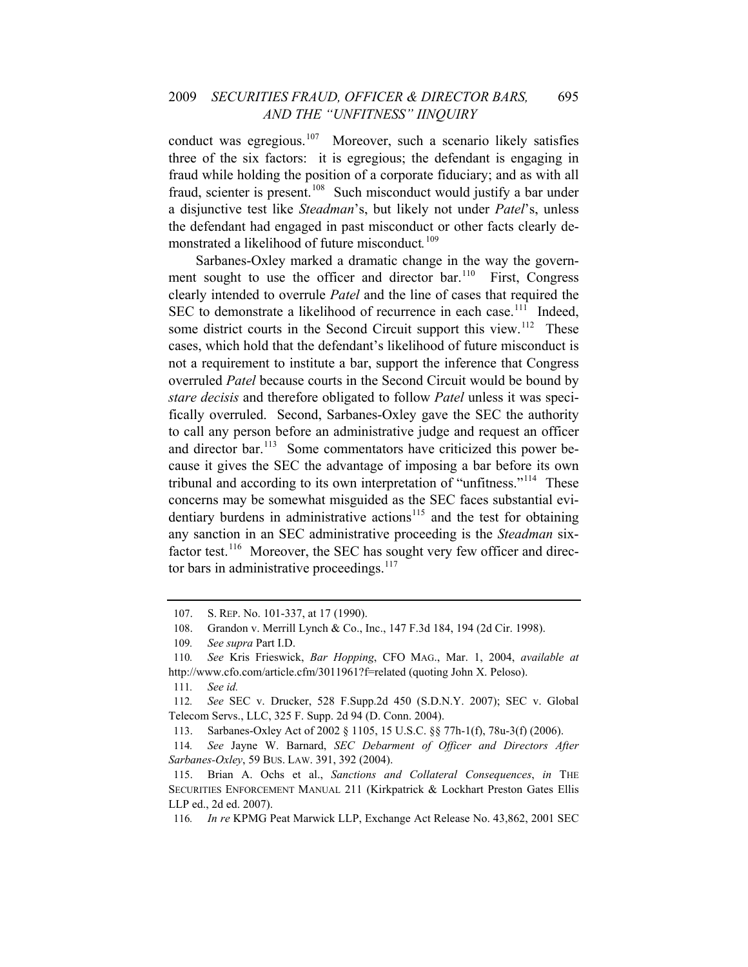#### 2009 *SECURITIES FRAUD, OFFICER & DIRECTOR BARS,* 695 *AND THE "UNFITNESS" IINQUIRY*

conduct was egregious.<sup>[107](#page-17-0)</sup> Moreover, such a scenario likely satisfies three of the six factors: it is egregious; the defendant is engaging in fraud while holding the position of a corporate fiduciary; and as with all fraud, scienter is present.<sup>[108](#page-17-1)</sup> Such misconduct would justify a bar under a disjunctive test like *Steadman*'s, but likely not under *Patel*'s, unless the defendant had engaged in past misconduct or other facts clearly demonstrated a likelihood of future misconduct*.* [109](#page-17-2)

Sarbanes-Oxley marked a dramatic change in the way the government sought to use the officer and director  $bar^{110}$  $bar^{110}$  $bar^{110}$  First, Congress clearly intended to overrule *Patel* and the line of cases that required the SEC to demonstrate a likelihood of recurrence in each case.<sup>[111](#page-17-4)</sup> Indeed, some district courts in the Second Circuit support this view.<sup>[112](#page-17-5)</sup> These cases, which hold that the defendant's likelihood of future misconduct is not a requirement to institute a bar, support the inference that Congress overruled *Patel* because courts in the Second Circuit would be bound by *stare decisis* and therefore obligated to follow *Patel* unless it was specifically overruled. Second, Sarbanes-Oxley gave the SEC the authority to call any person before an administrative judge and request an officer and director bar.<sup>[113](#page-17-6)</sup> Some commentators have criticized this power because it gives the SEC the advantage of imposing a bar before its own tribunal and according to its own interpretation of "unfitness."<sup>[114](#page-17-7)</sup> These concerns may be somewhat misguided as the SEC faces substantial evi-dentiary burdens in administrative actions<sup>[115](#page-17-8)</sup> and the test for obtaining any sanction in an SEC administrative proceeding is the *Steadman* six-factor test.<sup>[116](#page-17-9)</sup> Moreover, the SEC has sought very few officer and direc-tor bars in administrative proceedings.<sup>[117](#page-17-10)</sup>

<span id="page-17-10"></span><span id="page-17-0"></span><sup>107.</sup> S. REP. No. 101-337, at 17 (1990).

<sup>108.</sup> Grandon v. Merrill Lynch & Co., Inc., 147 F.3d 184, 194 (2d Cir. 1998).

<sup>109</sup>*. See supra* Part I.D.

<span id="page-17-3"></span><span id="page-17-2"></span><span id="page-17-1"></span><sup>110</sup>*. See* Kris Frieswick, *Bar Hopping*, CFO MAG., Mar. 1, 2004, *available at*  http://www.cfo.com/article.cfm/3011961?f=related (quoting John X. Peloso).

<sup>111</sup>*. See id.*

<span id="page-17-5"></span><span id="page-17-4"></span><sup>112</sup>*. See* SEC v. Drucker, 528 F.Supp.2d 450 (S.D.N.Y. 2007); SEC v. Global Telecom Servs., LLC, 325 F. Supp. 2d 94 (D. Conn. 2004).

<sup>113.</sup> Sarbanes-Oxley Act of 2002 § 1105, 15 U.S.C. §§ 77h-1(f), 78u-3(f) (2006).

<span id="page-17-7"></span><span id="page-17-6"></span><sup>114</sup>*. See* Jayne W. Barnard, *SEC Debarment of Officer and Directors After Sarbanes-Oxley*, 59 BUS. LAW. 391, 392 (2004).

<span id="page-17-8"></span><sup>115.</sup> Brian A. Ochs et al., *Sanctions and Collateral Consequences*, *in* THE SECURITIES ENFORCEMENT MANUAL 211 (Kirkpatrick & Lockhart Preston Gates Ellis LLP ed., 2d ed. 2007).

<span id="page-17-9"></span><sup>116</sup>*. In re* KPMG Peat Marwick LLP, Exchange Act Release No. 43,862, 2001 SEC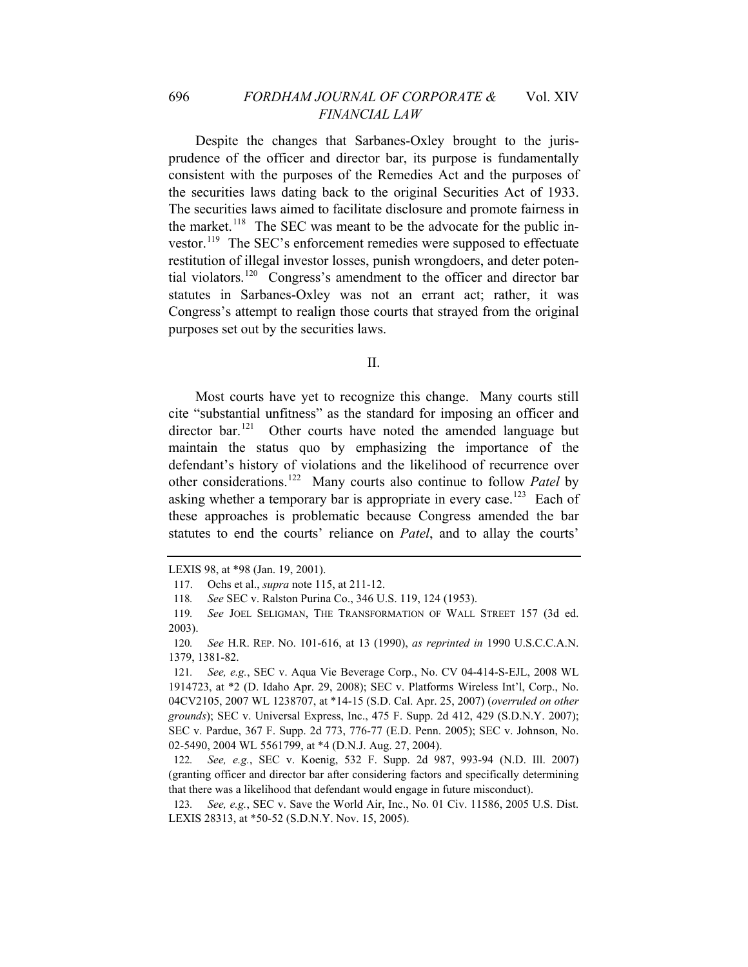Despite the changes that Sarbanes-Oxley brought to the jurisprudence of the officer and director bar, its purpose is fundamentally consistent with the purposes of the Remedies Act and the purposes of the securities laws dating back to the original Securities Act of 1933. The securities laws aimed to facilitate disclosure and promote fairness in the market.<sup>[118](#page-18-0)</sup> The SEC was meant to be the advocate for the public investor.[119](#page-18-1) The SEC's enforcement remedies were supposed to effectuate restitution of illegal investor losses, punish wrongdoers, and deter potential violators.[120](#page-18-2) Congress's amendment to the officer and director bar statutes in Sarbanes-Oxley was not an errant act; rather, it was Congress's attempt to realign those courts that strayed from the original purposes set out by the securities laws.

II.

Most courts have yet to recognize this change. Many courts still cite "substantial unfitness" as the standard for imposing an officer and director bar.<sup>[121](#page-18-3)</sup> Other courts have noted the amended language but maintain the status quo by emphasizing the importance of the defendant's history of violations and the likelihood of recurrence over other considerations.[122](#page-18-4) Many courts also continue to follow *Patel* by asking whether a temporary bar is appropriate in every case.<sup>[123](#page-18-5)</sup> Each of these approaches is problematic because Congress amended the bar statutes to end the courts' reliance on *Patel*, and to allay the courts'

<span id="page-18-4"></span>122*. See, e.g.*, SEC v. Koenig, 532 F. Supp. 2d 987, 993-94 (N.D. Ill. 2007) (granting officer and director bar after considering factors and specifically determining that there was a likelihood that defendant would engage in future misconduct).

<span id="page-18-5"></span>123*. See, e.g.*, SEC v. Save the World Air, Inc., No. 01 Civ. 11586, 2005 U.S. Dist. LEXIS 28313, at \*50-52 (S.D.N.Y. Nov. 15, 2005).

LEXIS 98, at \*98 (Jan. 19, 2001).

<sup>117.</sup> Ochs et al., *supra* note 115, at 211-12.

<sup>118</sup>*. See* SEC v. Ralston Purina Co., 346 U.S. 119, 124 (1953).

<span id="page-18-1"></span><span id="page-18-0"></span><sup>119</sup>*. See* JOEL SELIGMAN, THE TRANSFORMATION OF WALL STREET 157 (3d ed. 2003).

<span id="page-18-2"></span><sup>120</sup>*. See* H.R. REP. NO. 101-616, at 13 (1990), *as reprinted in* 1990 U.S.C.C.A.N. 1379, 1381-82.

<span id="page-18-3"></span><sup>121</sup>*. See, e.g.*, SEC v. Aqua Vie Beverage Corp., No. CV 04-414-S-EJL, 2008 WL 1914723, at \*2 (D. Idaho Apr. 29, 2008); SEC v. Platforms Wireless Int'l, Corp., No. 04CV2105, 2007 WL 1238707, at \*14-15 (S.D. Cal. Apr. 25, 2007) (*overruled on other grounds*); SEC v. Universal Express, Inc., 475 F. Supp. 2d 412, 429 (S.D.N.Y. 2007); SEC v. Pardue, 367 F. Supp. 2d 773, 776-77 (E.D. Penn. 2005); SEC v. Johnson, No. 02-5490, 2004 WL 5561799, at \*4 (D.N.J. Aug. 27, 2004).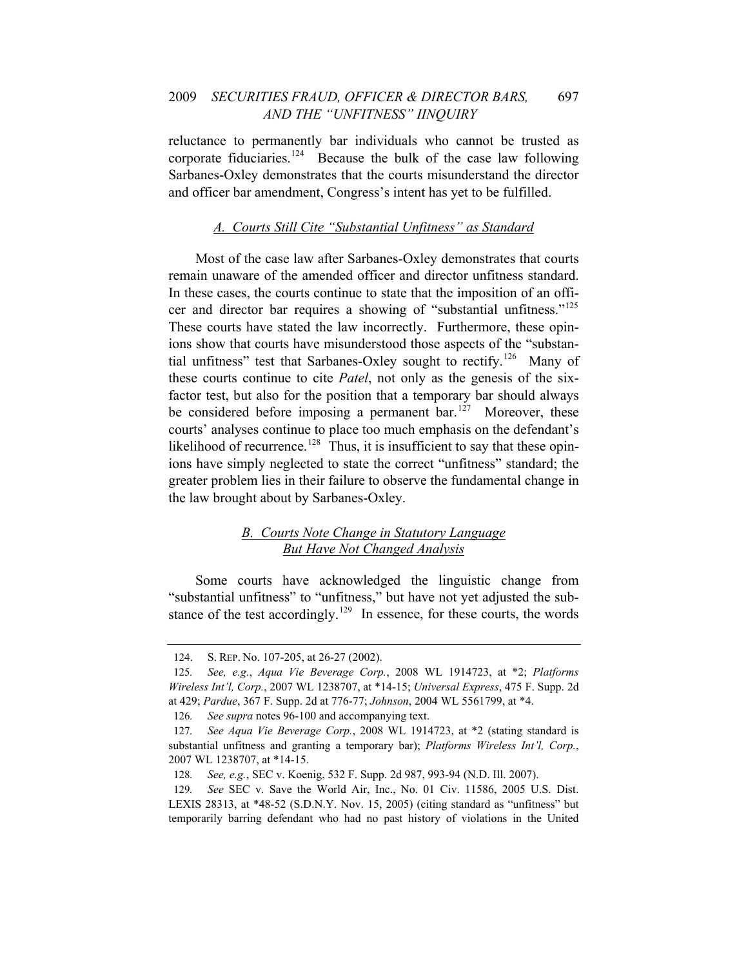#### 2009 *SECURITIES FRAUD, OFFICER & DIRECTOR BARS,* 697 *AND THE "UNFITNESS" IINQUIRY*

and officer bar amendment, Congress's intent has yet to be fulfilled. reluctance to permanently bar individuals who cannot be trusted as corporate fiduciaries.<sup>[124](#page-19-0)</sup> Because the bulk of the case law following Sarbanes-Oxley demonstrates that the courts misunderstand the director

#### *A. Courts Still Cite "Substantial Unfitness" as Standard*

Most of the case law after Sarbanes-Oxley demonstrates that courts remain unaware of the amended officer and director unfitness standard. In these cases, the courts continue to state that the imposition of an offi-cer and director bar requires a showing of "substantial unfitness."<sup>[125](#page-19-1)</sup> These courts have stated the law incorrectly. Furthermore, these opinions show that courts have misunderstood those aspects of the "substan-tial unfitness" test that Sarbanes-Oxley sought to rectify.<sup>[126](#page-19-2)</sup> Many of these courts continue to cite *Patel*, not only as the genesis of the sixfactor test, but also for the position that a temporary bar should always be considered before imposing a permanent bar.<sup>[127](#page-19-3)</sup> Moreover, these courts' analyses continue to place too much emphasis on the defendant's likelihood of recurrence.<sup>[128](#page-19-4)</sup> Thus, it is insufficient to say that these opinions have simply neglected to state the correct "unfitness" standard; the greater problem lies in their failure to observe the fundamental change in the law brought about by Sarbanes-Oxley.

#### *B. Courts Note Change in Statutory Language But Have Not Changed Analysis*

Some courts have acknowledged the linguistic change from "substantial unfitness" to "unfitness," but have not yet adjusted the sub-stance of the test accordingly.<sup>[129](#page-19-5)</sup> In essence, for these courts, the words

<sup>124.</sup> S. REP. No. 107-205, at 26-27 (2002).

<span id="page-19-1"></span><span id="page-19-0"></span><sup>125</sup>*. See, e.g.*, *Aqua Vie Beverage Corp.*, 2008 WL 1914723, at \*2; *Platforms Wireless Int'l, Corp.*, 2007 WL 1238707, at \*14-15; *Universal Express*, 475 F. Supp. 2d at 429; *Pardue*, 367 F. Supp. 2d at 776-77; *Johnson*, 2004 WL 5561799, at \*4.

<sup>126</sup>*. See supra* notes 96-100 and accompanying text.

<span id="page-19-3"></span><span id="page-19-2"></span><sup>127</sup>*. See Aqua Vie Beverage Corp.*, 2008 WL 1914723, at \*2 (stating standard is substantial unfitness and granting a temporary bar); *Platforms Wireless Int'l, Corp.*, 2007 WL 1238707, at \*14-15.

<sup>128</sup>*. See, e.g.*, SEC v. Koenig, 532 F. Supp. 2d 987, 993-94 (N.D. Ill. 2007).

<span id="page-19-5"></span><span id="page-19-4"></span><sup>129</sup>*. See* SEC v. Save the World Air, Inc., No. 01 Civ. 11586, 2005 U.S. Dist. LEXIS 28313, at \*48-52 (S.D.N.Y. Nov. 15, 2005) (citing standard as "unfitness" but temporarily barring defendant who had no past history of violations in the United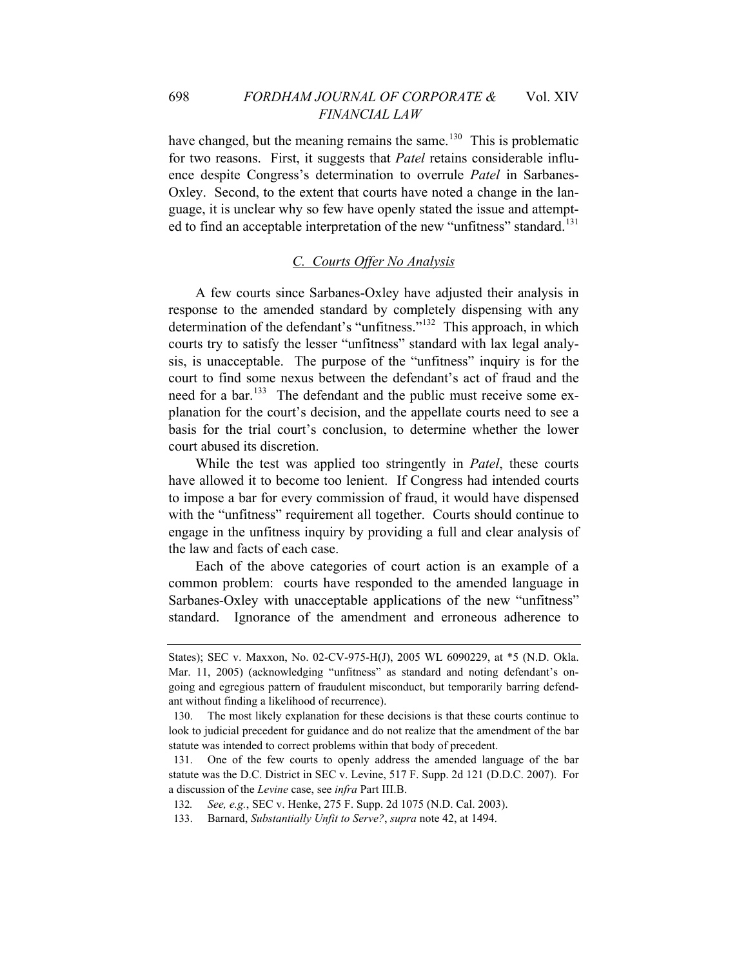have changed, but the meaning remains the same.<sup>[130](#page-20-0)</sup> This is problematic for two reasons. First, it suggests that *Patel* retains considerable influence despite Congress's determination to overrule *Patel* in Sarbanes-Oxley. Second, to the extent that courts have noted a change in the language, it is unclear why so few have openly stated the issue and attempt-ed to find an acceptable interpretation of the new "unfitness" standard.<sup>[131](#page-20-1)</sup>

#### *C. Courts Offer No Analysis*

A few courts since Sarbanes-Oxley have adjusted their analysis in response to the amended standard by completely dispensing with any determination of the defendant's "unfitness."[132](#page-20-2) This approach, in which courts try to satisfy the lesser "unfitness" standard with lax legal analysis, is unacceptable. The purpose of the "unfitness" inquiry is for the court to find some nexus between the defendant's act of fraud and the need for a bar.<sup>[133](#page-20-3)</sup> The defendant and the public must receive some explanation for the court's decision, and the appellate courts need to see a basis for the trial court's conclusion, to determine whether the lower court abused its discretion.

While the test was applied too stringently in *Patel*, these courts have allowed it to become too lenient. If Congress had intended courts to impose a bar for every commission of fraud, it would have dispensed with the "unfitness" requirement all together. Courts should continue to engage in the unfitness inquiry by providing a full and clear analysis of the law and facts of each case.

Each of the above categories of court action is an example of a common problem: courts have responded to the amended language in Sarbanes-Oxley with unacceptable applications of the new "unfitness" standard. Ignorance of the amendment and erroneous adherence to

States); SEC v. Maxxon, No. 02-CV-975-H(J), 2005 WL 6090229, at \*5 (N.D. Okla. Mar. 11, 2005) (acknowledging "unfitness" as standard and noting defendant's ongoing and egregious pattern of fraudulent misconduct, but temporarily barring defendant without finding a likelihood of recurrence).

<span id="page-20-0"></span><sup>130.</sup> The most likely explanation for these decisions is that these courts continue to look to judicial precedent for guidance and do not realize that the amendment of the bar statute was intended to correct problems within that body of precedent.

<span id="page-20-1"></span><sup>131.</sup> One of the few courts to openly address the amended language of the bar statute was the D.C. District in SEC v. Levine, 517 F. Supp. 2d 121 (D.D.C. 2007). For a discussion of the *Levine* case, see *infra* Part III.B.

<span id="page-20-3"></span><span id="page-20-2"></span><sup>132</sup>*. See, e.g.*, SEC v. Henke, 275 F. Supp. 2d 1075 (N.D. Cal. 2003).

<sup>133.</sup> Barnard, *Substantially Unfit to Serve?*, *supra* note 42, at 1494.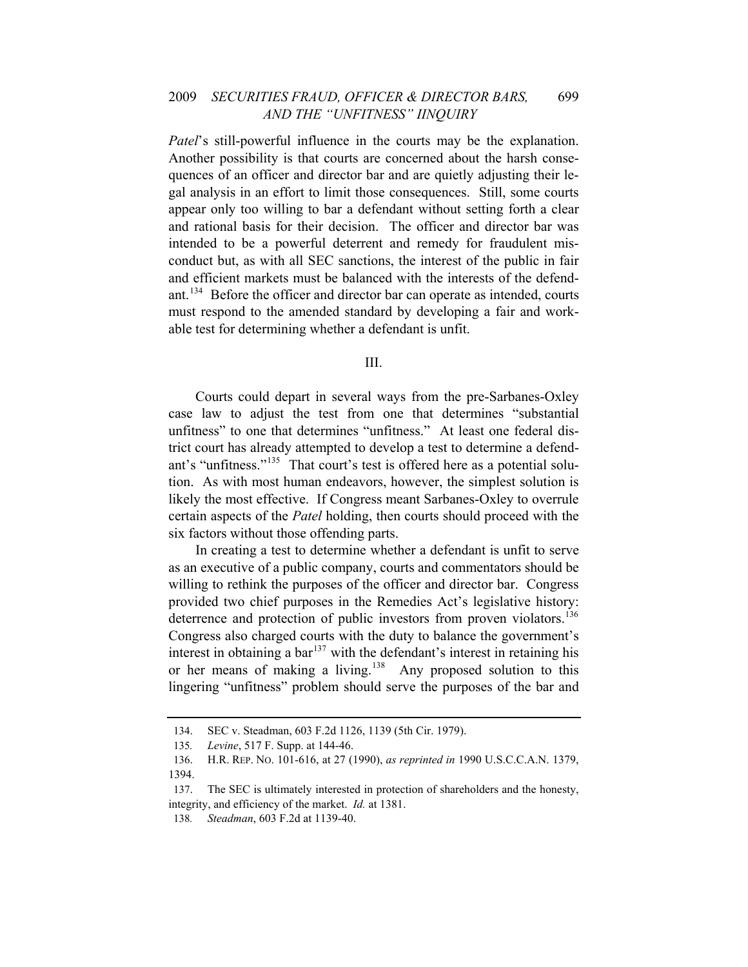*Patel*'s still-powerful influence in the courts may be the explanation. Another possibility is that courts are concerned about the harsh consequences of an officer and director bar and are quietly adjusting their legal analysis in an effort to limit those consequences. Still, some courts appear only too willing to bar a defendant without setting forth a clear and rational basis for their decision. The officer and director bar was intended to be a powerful deterrent and remedy for fraudulent misconduct but, as with all SEC sanctions, the interest of the public in fair and efficient markets must be balanced with the interests of the defendant.[134](#page-21-0) Before the officer and director bar can operate as intended, courts must respond to the amended standard by developing a fair and workable test for determining whether a defendant is unfit.

III.

Courts could depart in several ways from the pre-Sarbanes-Oxley case law to adjust the test from one that determines "substantial unfitness" to one that determines "unfitness." At least one federal district court has already attempted to develop a test to determine a defend-ant's "unfitness."<sup>[135](#page-21-1)</sup> That court's test is offered here as a potential solution. As with most human endeavors, however, the simplest solution is likely the most effective. If Congress meant Sarbanes-Oxley to overrule certain aspects of the *Patel* holding, then courts should proceed with the six factors without those offending parts.

In creating a test to determine whether a defendant is unfit to serve as an executive of a public company, courts and commentators should be willing to rethink the purposes of the officer and director bar. Congress provided two chief purposes in the Remedies Act's legislative history: deterrence and protection of public investors from proven violators.<sup>[136](#page-21-2)</sup> Congress also charged courts with the duty to balance the government's interest in obtaining a  $bar^{137}$  $bar^{137}$  $bar^{137}$  with the defendant's interest in retaining his or her means of making a living.[138](#page-21-4)Any proposed solution to this lingering "unfitness" problem should serve the purposes of the bar and

<sup>134.</sup> SEC v. Steadman, 603 F.2d 1126, 1139 (5th Cir. 1979).

<sup>135</sup>*. Levine*, 517 F. Supp. at 144-46.

<span id="page-21-2"></span><span id="page-21-1"></span><span id="page-21-0"></span><sup>136.</sup> H.R. REP. NO. 101-616, at 27 (1990), *as reprinted in* 1990 U.S.C.C.A.N. 1379, 1394.

<span id="page-21-4"></span><span id="page-21-3"></span><sup>137.</sup> The SEC is ultimately interested in protection of shareholders and the honesty, integrity, and efficiency of the market. *Id.* at 1381.

<sup>138</sup>*. Steadman*, 603 F.2d at 1139-40.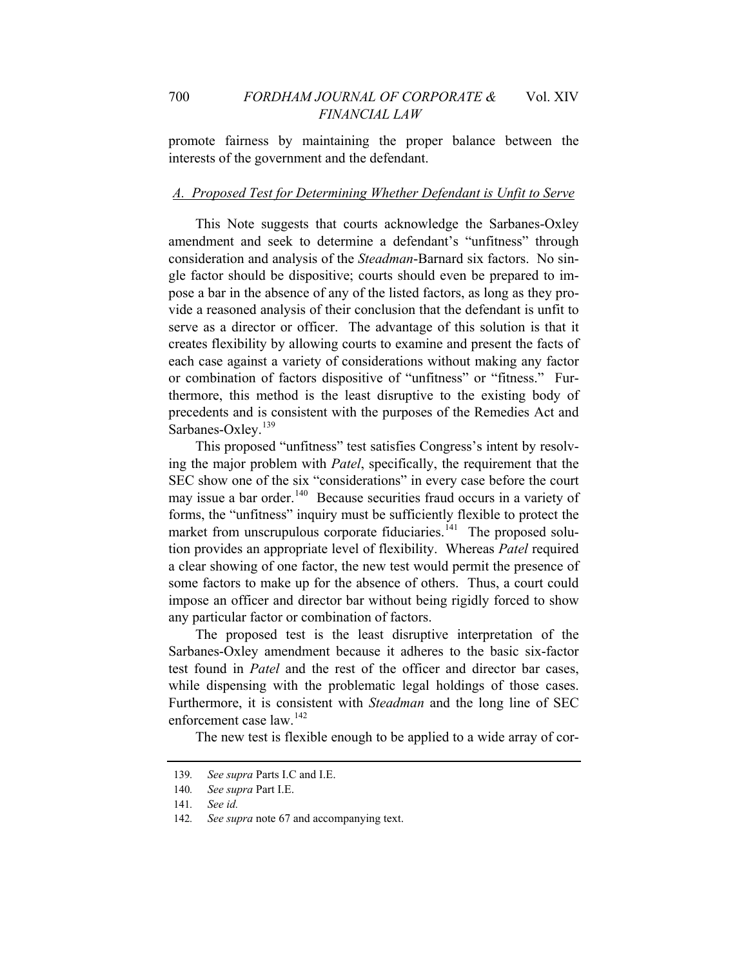interests of the government and the defendant. promote fairness by maintaining the proper balance between the

#### *A. Proposed Test for Determining Whether Defendant is Unfit to Serve*

This Note suggests that courts acknowledge the Sarbanes-Oxley amendment and seek to determine a defendant's "unfitness" through consideration and analysis of the *Steadman*-Barnard six factors. No single factor should be dispositive; courts should even be prepared to impose a bar in the absence of any of the listed factors, as long as they provide a reasoned analysis of their conclusion that the defendant is unfit to serve as a director or officer. The advantage of this solution is that it creates flexibility by allowing courts to examine and present the facts of each case against a variety of considerations without making any factor or combination of factors dispositive of "unfitness" or "fitness." Furthermore, this method is the least disruptive to the existing body of precedents and is consistent with the purposes of the Remedies Act and Sarbanes-Oxley.<sup>[139](#page-22-0)</sup>

This proposed "unfitness" test satisfies Congress's intent by resolving the major problem with *Patel*, specifically, the requirement that the SEC show one of the six "considerations" in every case before the court may issue a bar order.<sup>[140](#page-22-1)</sup> Because securities fraud occurs in a variety of forms, the "unfitness" inquiry must be sufficiently flexible to protect the market from unscrupulous corporate fiduciaries.<sup> $141$ </sup> The proposed solution provides an appropriate level of flexibility. Whereas *Patel* required a clear showing of one factor, the new test would permit the presence of some factors to make up for the absence of others. Thus, a court could impose an officer and director bar without being rigidly forced to show any particular factor or combination of factors.

The proposed test is the least disruptive interpretation of the Sarbanes-Oxley amendment because it adheres to the basic six-factor test found in *Patel* and the rest of the officer and director bar cases, while dispensing with the problematic legal holdings of those cases. Furthermore, it is consistent with *Steadman* and the long line of SEC enforcement case law <sup>[142](#page-22-3)</sup>

The new test is flexible enough to be applied to a wide array of cor-

<span id="page-22-0"></span><sup>139</sup>*. See supra* Parts I.C and I.E.

<span id="page-22-1"></span><sup>140</sup>*. See supra* Part I.E.

<sup>141</sup>*. See id.*

<span id="page-22-3"></span><span id="page-22-2"></span><sup>142</sup>*. See supra* note 67 and accompanying text.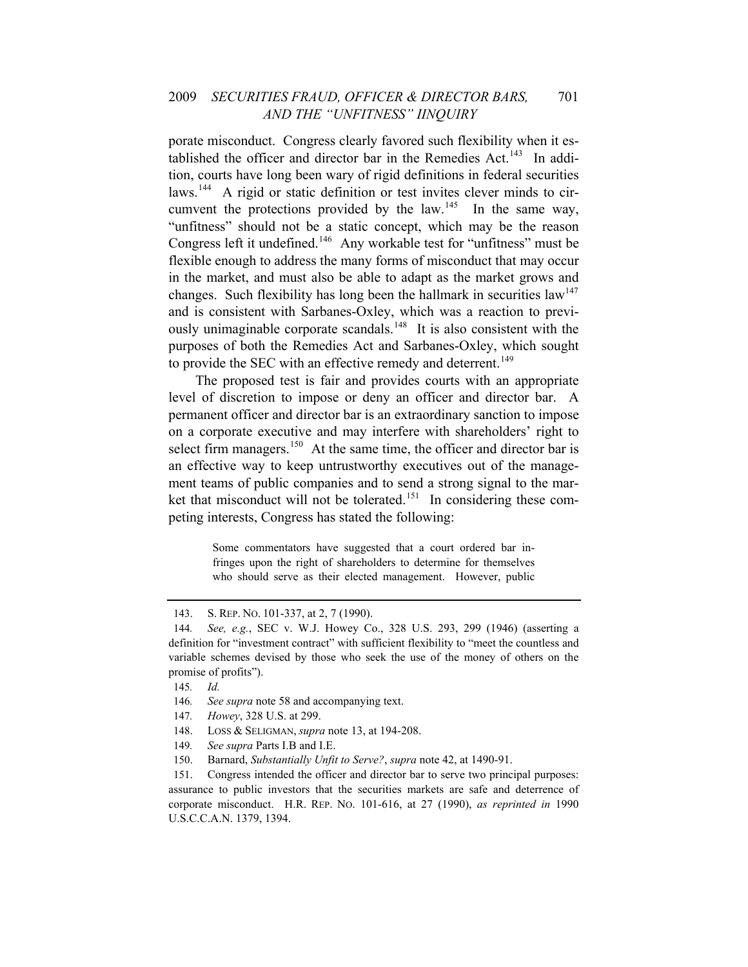#### 2009 *SECURITIES FRAUD, OFFICER & DIRECTOR BARS,* 701 *AND THE "UNFITNESS" IINQUIRY*

porate misconduct. Congress clearly favored such flexibility when it es-tablished the officer and director bar in the Remedies Act.<sup>[143](#page-23-0)</sup> In addition, courts have long been wary of rigid definitions in federal securities laws.<sup>[144](#page-23-1)</sup> A rigid or static definition or test invites clever minds to cir-cumvent the protections provided by the law.<sup>[145](#page-23-2)</sup> In the same way, "unfitness" should not be a static concept, which may be the reason Congress left it undefined.[146](#page-23-3) Any workable test for "unfitness" must be flexible enough to address the many forms of misconduct that may occur in the market, and must also be able to adapt as the market grows and changes. Such flexibility has long been the hallmark in securities law<sup>[147](#page-23-4)</sup> and is consistent with Sarbanes-Oxley, which was a reaction to previ-ously unimaginable corporate scandals.<sup>[148](#page-23-5)</sup> It is also consistent with the purposes of both the Remedies Act and Sarbanes-Oxley, which sought to provide the SEC with an effective remedy and deterrent.<sup>[149](#page-23-6)</sup>

The proposed test is fair and provides courts with an appropriate level of discretion to impose or deny an officer and director bar. A permanent officer and director bar is an extraordinary sanction to impose on a corporate executive and may interfere with shareholders' right to select firm managers.<sup>[150](#page-23-7)</sup> At the same time, the officer and director bar is an effective way to keep untrustworthy executives out of the management teams of public companies and to send a strong signal to the mar-ket that misconduct will not be tolerated.<sup>[151](#page-23-8)</sup> In considering these competing interests, Congress has stated the following:

> Some commentators have suggested that a court ordered bar infringes upon the right of shareholders to determine for themselves who should serve as their elected management. However, public

- <span id="page-23-5"></span><span id="page-23-4"></span>147*. Howey*, 328 U.S. at 299.
- 148. LOSS & SELIGMAN, *supra* note 13, at 194-208.
- 149*. See supra* Parts I.B and I.E.
- 150. Barnard, *Substantially Unfit to Serve?*, *supra* note 42, at 1490-91.

<sup>143.</sup> S. REP. NO. 101-337, at 2, 7 (1990).

<span id="page-23-1"></span><span id="page-23-0"></span><sup>144</sup>*. See, e.g.*, SEC v. W.J. Howey Co., 328 U.S. 293, 299 (1946) (asserting a definition for "investment contract" with sufficient flexibility to "meet the countless and variable schemes devised by those who seek the use of the money of others on the promise of profits").

<span id="page-23-3"></span><span id="page-23-2"></span><sup>145</sup>*. Id.*

<sup>146</sup>*. See supra* note 58 and accompanying text.

<span id="page-23-8"></span><span id="page-23-7"></span><span id="page-23-6"></span><sup>151.</sup> Congress intended the officer and director bar to serve two principal purposes: assurance to public investors that the securities markets are safe and deterrence of corporate misconduct. H.R. REP. NO. 101-616, at 27 (1990), *as reprinted in* 1990 U.S.C.C.A.N. 1379, 1394.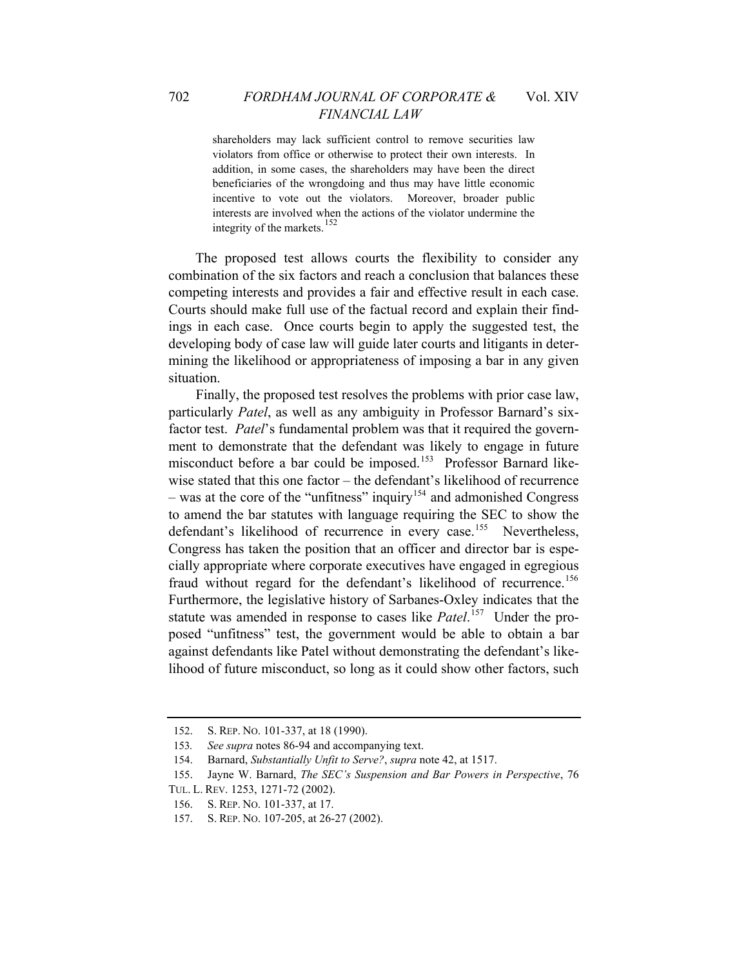shareholders may lack sufficient control to remove securities law violators from office or otherwise to protect their own interests. In addition, in some cases, the shareholders may have been the direct beneficiaries of the wrongdoing and thus may have little economic incentive to vote out the violators. Moreover, broader public interests are involved when the actions of the violator undermine the integrity of the markets.<sup>[152](#page-24-0)</sup>

The proposed test allows courts the flexibility to consider any combination of the six factors and reach a conclusion that balances these competing interests and provides a fair and effective result in each case. Courts should make full use of the factual record and explain their findings in each case. Once courts begin to apply the suggested test, the developing body of case law will guide later courts and litigants in determining the likelihood or appropriateness of imposing a bar in any given situation.

Finally, the proposed test resolves the problems with prior case law, particularly *Patel*, as well as any ambiguity in Professor Barnard's sixfactor test. *Patel*'s fundamental problem was that it required the government to demonstrate that the defendant was likely to engage in future misconduct before a bar could be imposed.<sup>[153](#page-24-1)</sup> Professor Barnard likewise stated that this one factor – the defendant's likelihood of recurrence – was at the core of the "unfitness" inquiry<sup>[154](#page-24-2)</sup> and admonished Congress to amend the bar statutes with language requiring the SEC to show the defendant's likelihood of recurrence in every case.<sup>[155](#page-24-3)</sup> Nevertheless, Congress has taken the position that an officer and director bar is especially appropriate where corporate executives have engaged in egregious fraud without regard for the defendant's likelihood of recurrence.<sup>[156](#page-24-4)</sup> Furthermore, the legislative history of Sarbanes-Oxley indicates that the statute was amended in response to cases like *Patel*.<sup>[157](#page-24-5)</sup> Under the proposed "unfitness" test, the government would be able to obtain a bar against defendants like Patel without demonstrating the defendant's likelihood of future misconduct, so long as it could show other factors, such

<sup>152.</sup> S. REP. NO. 101-337, at 18 (1990).

<span id="page-24-1"></span><span id="page-24-0"></span><sup>153</sup>*. See supra* notes 86-94 and accompanying text.

<span id="page-24-2"></span><sup>154.</sup> Barnard, *Substantially Unfit to Serve?*, *supra* note 42, at 1517.

<sup>155.</sup> Jayne W. Barnard, *The SEC's Suspension and Bar Powers in Perspective*, 76

<span id="page-24-5"></span><span id="page-24-4"></span><span id="page-24-3"></span>TUL. L. REV. 1253, 1271-72 (2002).

<sup>156.</sup> S. REP. NO. 101-337, at 17.

<sup>157.</sup> S. REP. NO. 107-205, at 26-27 (2002).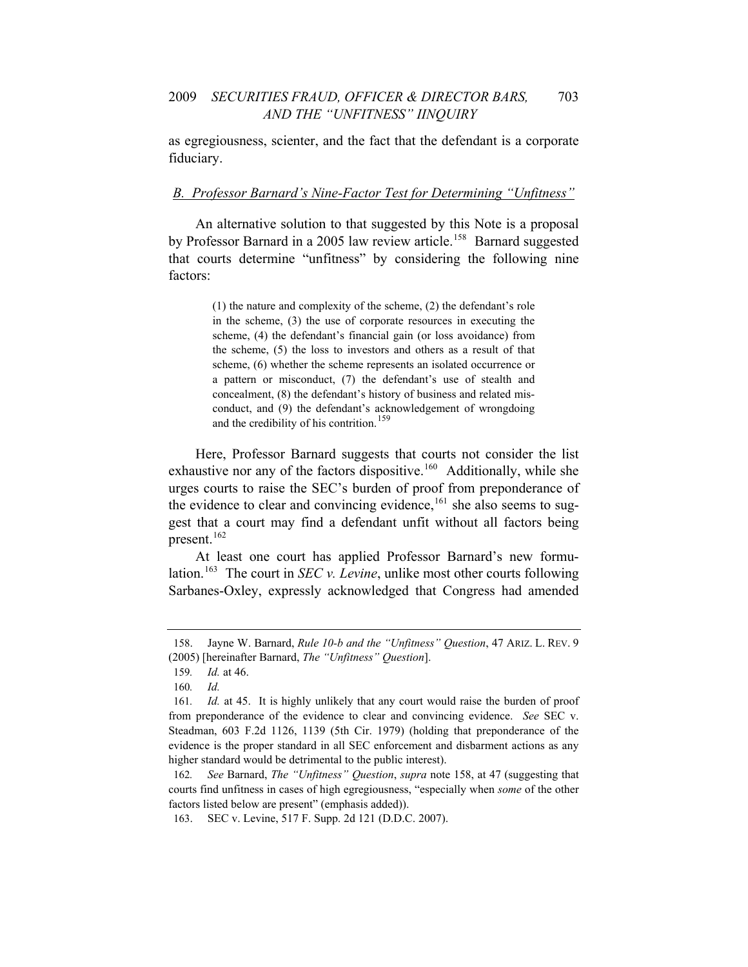as egregiousness, scienter, and the fact that the defendant is a corporate fiduciary.

#### *B. Professor Barnard's Nine-Factor Test for Determining "Unfitness"*

An alternative solution to that suggested by this Note is a proposal by Professor Barnard in a 2005 law review article.<sup>[158](#page-25-0)</sup> Barnard suggested that courts determine "unfitness" by considering the following nine factors:

> (1) the nature and complexity of the scheme, (2) the defendant's role in the scheme, (3) the use of corporate resources in executing the scheme, (4) the defendant's financial gain (or loss avoidance) from the scheme, (5) the loss to investors and others as a result of that scheme, (6) whether the scheme represents an isolated occurrence or a pattern or misconduct, (7) the defendant's use of stealth and concealment, (8) the defendant's history of business and related misconduct, and (9) the defendant's acknowledgement of wrongdoing and the credibility of his contrition.<sup>[159](#page-25-1)</sup>

Here, Professor Barnard suggests that courts not consider the list exhaustive nor any of the factors dispositive.<sup>[160](#page-25-2)</sup> Additionally, while she urges courts to raise the SEC's burden of proof from preponderance of the evidence to clear and convincing evidence,<sup>[161](#page-25-3)</sup> she also seems to suggest that a court may find a defendant unfit without all factors being present.<sup>[162](#page-25-4)</sup>

At least one court has applied Professor Barnard's new formulation.[163](#page-25-5) The court in *SEC v. Levine*, unlike most other courts following Sarbanes-Oxley, expressly acknowledged that Congress had amended

<span id="page-25-0"></span><sup>158.</sup> Jayne W. Barnard, *Rule 10-b and the "Unfitness" Question*, 47 ARIZ. L. REV. 9 (2005) [hereinafter Barnard, *The "Unfitness" Question*].

<sup>159</sup>*. Id.* at 46.

<sup>160</sup>*. Id.*

<span id="page-25-3"></span><span id="page-25-2"></span><span id="page-25-1"></span><sup>161</sup>*. Id.* at 45. It is highly unlikely that any court would raise the burden of proof from preponderance of the evidence to clear and convincing evidence. *See* SEC v. Steadman, 603 F.2d 1126, 1139 (5th Cir. 1979) (holding that preponderance of the evidence is the proper standard in all SEC enforcement and disbarment actions as any higher standard would be detrimental to the public interest).

<span id="page-25-4"></span><sup>162</sup>*. See* Barnard, *The "Unfitness" Question*, *supra* note 158, at 47 (suggesting that courts find unfitness in cases of high egregiousness, "especially when *some* of the other factors listed below are present" (emphasis added)).

<span id="page-25-5"></span><sup>163.</sup> SEC v. Levine, 517 F. Supp. 2d 121 (D.D.C. 2007).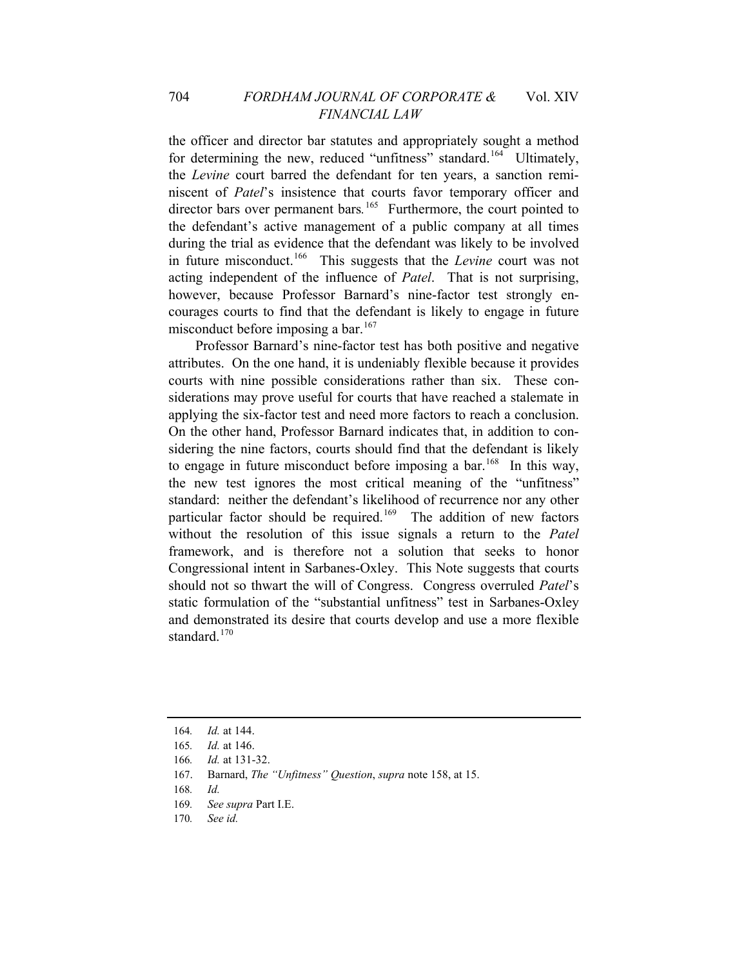the officer and director bar statutes and appropriately sought a method for determining the new, reduced "unfitness" standard.<sup>[164](#page-26-0)</sup> Ultimately, the *Levine* court barred the defendant for ten years, a sanction reminiscent of *Patel*'s insistence that courts favor temporary officer and director bars over permanent bars*.* [165](#page-26-1)Furthermore, the court pointed to the defendant's active management of a public company at all times during the trial as evidence that the defendant was likely to be involved in future misconduct.[166](#page-26-2) This suggests that the *Levine* court was not acting independent of the influence of *Patel*. That is not surprising, however, because Professor Barnard's nine-factor test strongly encourages courts to find that the defendant is likely to engage in future misconduct before imposing a bar.<sup>[167](#page-26-3)</sup>

and demonstrated its desire that courts develop and use a more flexible standard $170$ Professor Barnard's nine-factor test has both positive and negative attributes. On the one hand, it is undeniably flexible because it provides courts with nine possible considerations rather than six. These considerations may prove useful for courts that have reached a stalemate in applying the six-factor test and need more factors to reach a conclusion. On the other hand, Professor Barnard indicates that, in addition to considering the nine factors, courts should find that the defendant is likely to engage in future misconduct before imposing a bar.<sup>[168](#page-26-4)</sup> In this way, the new test ignores the most critical meaning of the "unfitness" standard: neither the defendant's likelihood of recurrence nor any other particular factor should be required.<sup>[169](#page-26-5)</sup> The addition of new factors without the resolution of this issue signals a return to the *Patel*  framework, and is therefore not a solution that seeks to honor Congressional intent in Sarbanes-Oxley. This Note suggests that courts should not so thwart the will of Congress. Congress overruled *Patel*'s static formulation of the "substantial unfitness" test in Sarbanes-Oxley

- <span id="page-26-5"></span>169*. See supra* Part I.E.
- 170*. See id.*

<sup>164</sup>*. Id.* at 144.

<span id="page-26-0"></span><sup>165</sup>*. Id.* at 146.

<span id="page-26-3"></span><span id="page-26-2"></span><span id="page-26-1"></span><sup>166</sup>*. Id.* at 131-32.

<sup>167.</sup> Barnard, *The "Unfitness" Question*, *supra* note 158, at 15.

<span id="page-26-4"></span><sup>168</sup>*. Id.*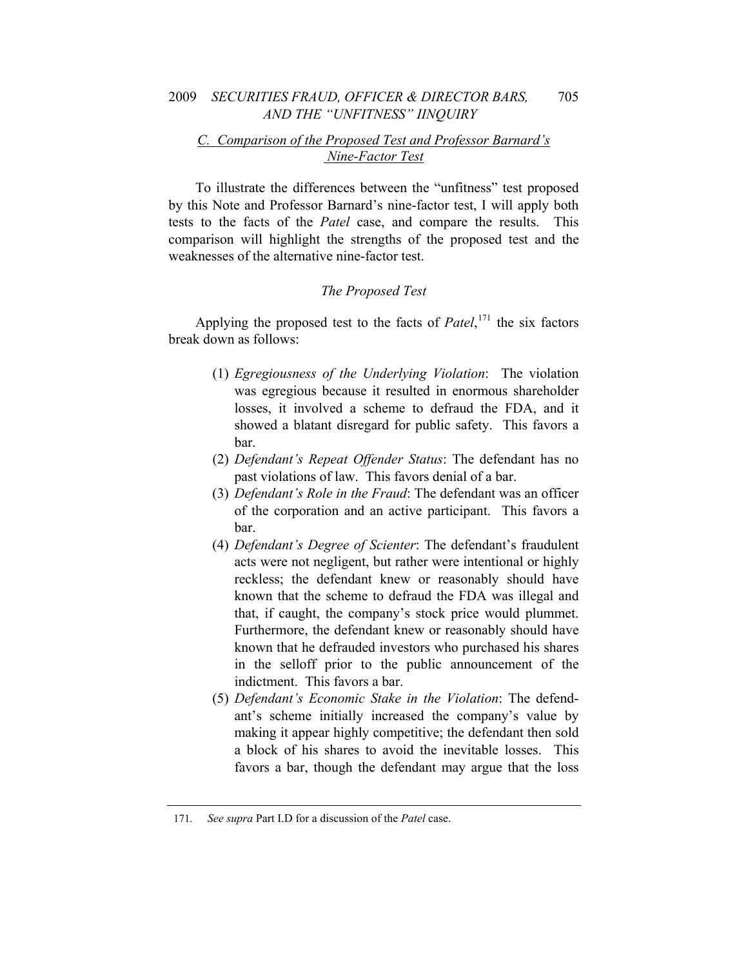#### *C. Comparison of the Proposed Test and Professor Barnard's Nine-Factor Test*

To illustrate the differences between the "unfitness" test proposed by this Note and Professor Barnard's nine-factor test, I will apply both tests to the facts of the *Patel* case, and compare the results. This comparison will highlight the strengths of the proposed test and the weaknesses of the alternative nine-factor test.

#### *The Proposed Test*

Applying the proposed test to the facts of *Patel*, [171](#page-27-0) the six factors break down as follows:

- (1) *Egregiousness of the Underlying Violation*: The violation was egregious because it resulted in enormous shareholder losses, it involved a scheme to defraud the FDA, and it showed a blatant disregard for public safety. This favors a bar.
- (2) *Defendant's Repeat Offender Status*: The defendant has no past violations of law. This favors denial of a bar.
- (3) *Defendant's Role in the Fraud*: The defendant was an officer of the corporation and an active participant. This favors a bar.
- (4) *Defendant's Degree of Scienter*: The defendant's fraudulent acts were not negligent, but rather were intentional or highly reckless; the defendant knew or reasonably should have known that the scheme to defraud the FDA was illegal and that, if caught, the company's stock price would plummet. Furthermore, the defendant knew or reasonably should have known that he defrauded investors who purchased his shares in the selloff prior to the public announcement of the indictment. This favors a bar.
- (5) *Defendant's Economic Stake in the Violation*: The defendant's scheme initially increased the company's value by making it appear highly competitive; the defendant then sold a block of his shares to avoid the inevitable losses. This favors a bar, though the defendant may argue that the loss

<span id="page-27-0"></span><sup>171</sup>*. See supra* Part I.D for a discussion of the *Patel* case.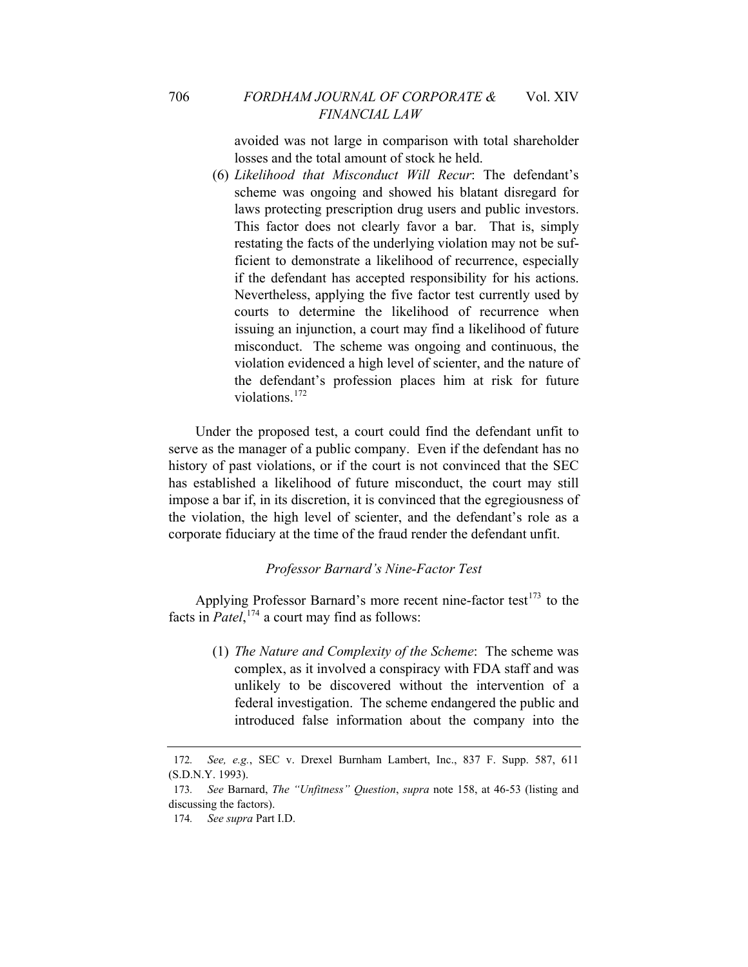avoided was not large in comparison with total shareholder losses and the total amount of stock he held.

(6) *Likelihood that Misconduct Will Recur*: The defendant's scheme was ongoing and showed his blatant disregard for laws protecting prescription drug users and public investors. This factor does not clearly favor a bar. That is, simply restating the facts of the underlying violation may not be sufficient to demonstrate a likelihood of recurrence, especially if the defendant has accepted responsibility for his actions. Nevertheless, applying the five factor test currently used by courts to determine the likelihood of recurrence when issuing an injunction, a court may find a likelihood of future misconduct. The scheme was ongoing and continuous, the violation evidenced a high level of scienter, and the nature of the defendant's profession places him at risk for future violations<sup>[172](#page-28-0)</sup>

Under the proposed test, a court could find the defendant unfit to serve as the manager of a public company. Even if the defendant has no history of past violations, or if the court is not convinced that the SEC has established a likelihood of future misconduct, the court may still impose a bar if, in its discretion, it is convinced that the egregiousness of the violation, the high level of scienter, and the defendant's role as a corporate fiduciary at the time of the fraud render the defendant unfit.

#### *Professor Barnard's Nine-Factor Test*

Applying Professor Barnard's more recent nine-factor test<sup>[173](#page-28-1)</sup> to the facts in *Patel*, [174](#page-28-2) a court may find as follows:

(1) *The Nature and Complexity of the Scheme*: The scheme was complex, as it involved a conspiracy with FDA staff and was unlikely to be discovered without the intervention of a federal investigation. The scheme endangered the public and introduced false information about the company into the

<span id="page-28-0"></span><sup>172</sup>*. See, e.g.*, SEC v. Drexel Burnham Lambert, Inc., 837 F. Supp. 587, 611 (S.D.N.Y. 1993).

<span id="page-28-2"></span><span id="page-28-1"></span><sup>173</sup>*. See* Barnard, *The "Unfitness" Question*, *supra* note 158, at 46-53 (listing and discussing the factors).

<sup>174</sup>*. See supra* Part I.D.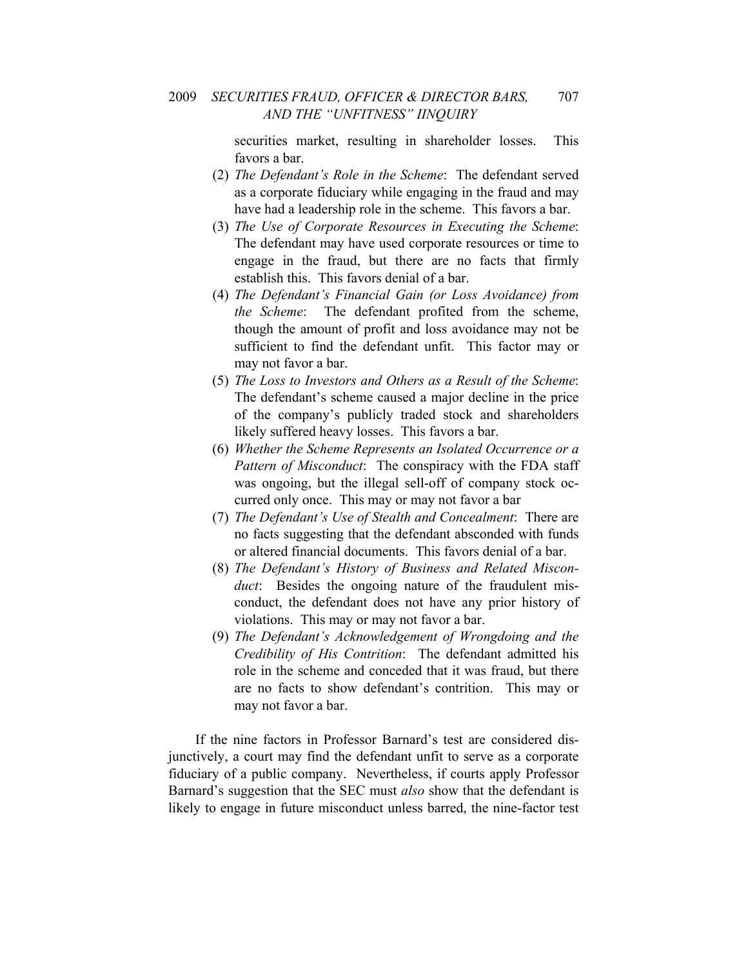securities market, resulting in shareholder losses. This favors a bar.

- (2) *The Defendant's Role in the Scheme*: The defendant served as a corporate fiduciary while engaging in the fraud and may have had a leadership role in the scheme. This favors a bar.
- (3) *The Use of Corporate Resources in Executing the Scheme*: The defendant may have used corporate resources or time to engage in the fraud, but there are no facts that firmly establish this. This favors denial of a bar.
- (4) *The Defendant's Financial Gain (or Loss Avoidance) from the Scheme*: The defendant profited from the scheme, though the amount of profit and loss avoidance may not be sufficient to find the defendant unfit. This factor may or may not favor a bar.
- (5) *The Loss to Investors and Others as a Result of the Scheme*: The defendant's scheme caused a major decline in the price of the company's publicly traded stock and shareholders likely suffered heavy losses. This favors a bar.
- (6) *Whether the Scheme Represents an Isolated Occurrence or a Pattern of Misconduct*: The conspiracy with the FDA staff was ongoing, but the illegal sell-off of company stock occurred only once. This may or may not favor a bar
- (7) *The Defendant's Use of Stealth and Concealment*: There are no facts suggesting that the defendant absconded with funds or altered financial documents. This favors denial of a bar.
- (8) *The Defendant's History of Business and Related Misconduct*: Besides the ongoing nature of the fraudulent misconduct, the defendant does not have any prior history of violations. This may or may not favor a bar.
- (9) *The Defendant's Acknowledgement of Wrongdoing and the Credibility of His Contrition*: The defendant admitted his role in the scheme and conceded that it was fraud, but there are no facts to show defendant's contrition. This may or may not favor a bar.

If the nine factors in Professor Barnard's test are considered disjunctively, a court may find the defendant unfit to serve as a corporate fiduciary of a public company. Nevertheless, if courts apply Professor Barnard's suggestion that the SEC must *also* show that the defendant is likely to engage in future misconduct unless barred, the nine-factor test